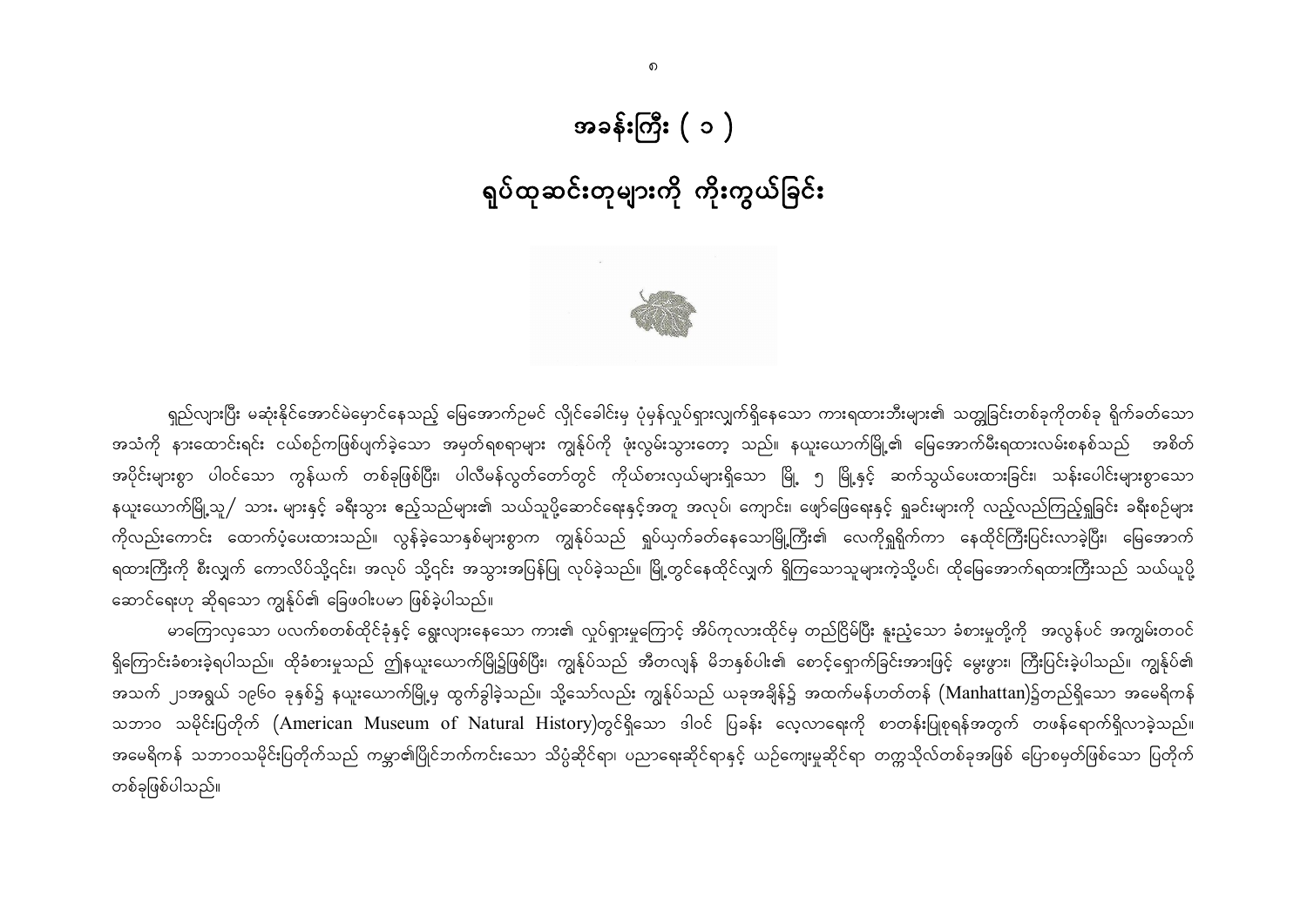## အခန်းကြီး ( ၁ )

# ရုပ်ထုဆင်းတုများကို ကိုးကွယ်ခြင်း



ရှည်လျားပြီး မဆုံးနိုင်အောင်မဲမှောင်နေသည့် မြေအောက်ဉမင် လိုုင်ခေါင်းမှ ပုံမှန်လှုပ်ရှားလျှက်ရှိနေသော ကားရထားဘီးများ၏ သတ္တုုခြင်းတစ်ခုကိုတစ်ခု ရိုက်ခတ်သော အသံကို နားထောင်းရင်း ငယ်စဉ်ကဖြစ်ပျက်ခဲ့သော အမှတ်ရစရာများ ကျွန်ုပ်ကို ဖုံးလွမ်းသွားတော့ သည်။ နယူးယောက်မြို့၏ မြေအောက်မီးရထားလမ်းစနစ်သည် အစိတ် အပိုင်းများစွာ ပါဝင်သော ကွန်ယက် တစ်ခုဖြစ်ပြီး၊ ပါလီမန်လွတ်တော်တွင် ကိုယ်စားလှယ်များရှိသော မြို့ ၅ မြို့နှင့် ဆက်သွယ်ပေးထားခြင်း၊ သန်းပေါင်းများစွာသော နယူးယောက်မြို့သူ / သား များနှင့် ခရီးသွား ဧည့်သည်များ၏ သယ်သူပို့ဆောင်ရေးနှင့်အတူ အလုပ်၊ ကျောင်း၊ ဖျော်ဖြေရေးနှင့် ရှုခင်းများကို လည့်လည်ကြည့်ရှုခြင်း ခရီးစဉ်များ ကိုလည်းကောင်း ထောက်ပံ့ပေးထားသည်။ လွန်ခဲ့သောနှစ်များစွာက ကျွန်ုပ်သည် ရှုပ်ယှက်ခတ်နေသောမြို့ကြီး၏ လေကိုရှုရိုက်ကာ နေထိုင်ကြီးပြင်းလာခဲ့ပြီး၊ မြေအောက် ရထားကြီးကို စီးလျှက် ကောလိပ်သို့၎င်း၊ အလုပ် သို့၎င်း အသွားအပြန်ပြု လုပ်ခဲ့သည်။ မြို့တွင်နေထိုင်လျှက် ရှိကြသောသူများကဲ့သို့ပင်၊ ထိုမြေအောက်ရထားကြီးသည် သယ်ယူပို့ ဆောင်ရေးဟု ဆိုရသော ကျွန်ုပ်၏ ခြေဖဝါးပမာ ဖြစ်ခဲ့ပါသည်။

မာကြောလှသော ပလက်စတစ်ထိုင်ခုံနှင့် ရွေးလျားနေသော ကား၏ လှုပ်ရှားမှုကြောင့် အိပ်ကုလားထိုင်မှ တည်ငြိမ်ပြီး နူးညံ့သော ခံစားမှုတို့ကို အလွန်ပင် အကျွမ်းတဝင် ရှိကြောင်းခံစားခဲ့ရပါသည်။ ထိုခံစားမှုသည် ဤနယူးယောက်မြို၌ဖြစ်ပြီး၊ ကျွန်ုပ်သည် အီတလျန် မိဘနှစ်ပါး၏ စောင့်ရှောက်ခြင်းအားဖြင့် မွေးဖွား၊ ကြီးပြင်းခဲ့ပါသည်။ ကျွန်ုပ်၏ အသက် ၂၁အရွယ် ၁၉၆၀ ခုနှစ်၌ နယူးယောက်မြို့မှ ထွက်ခွါခဲ့သည်။ သို့သော်လည်း ကျွန်ုပ်သည် ယခုအချိန်၌ အထက်မန်ဟတ်တန် (Manhattan)၌တည်ရှိသော အမေရိကန် သဘာဝ သမိုင်းပြတိုက် (American Museum of Natural History)တွင်ရှိသော ဒါဝင် ပြခန်း လေ့လာရေးကို စာတန်းပြုစုရန်အတွက် တဖန်ရောက်ရှိလာခဲ့သည်။ အမေရိကန် သဘာဝသမိုင်းပြတိုက်သည် ကမ္ဘာ၏ပြိုင်ဘက်ကင်းသော သိပ္ပံဆိုင်ရာ၊ ပညာရေးဆိုင်ရာနှင့် ယဉ်ကျေးမှုဆိုင်ရာ တက္ကသိုလ်တစ်ခုအဖြစ် ပြောစမှတ်ဖြစ်သော ပြတိုက် တစ်ခုဖြစ်ပါသည်။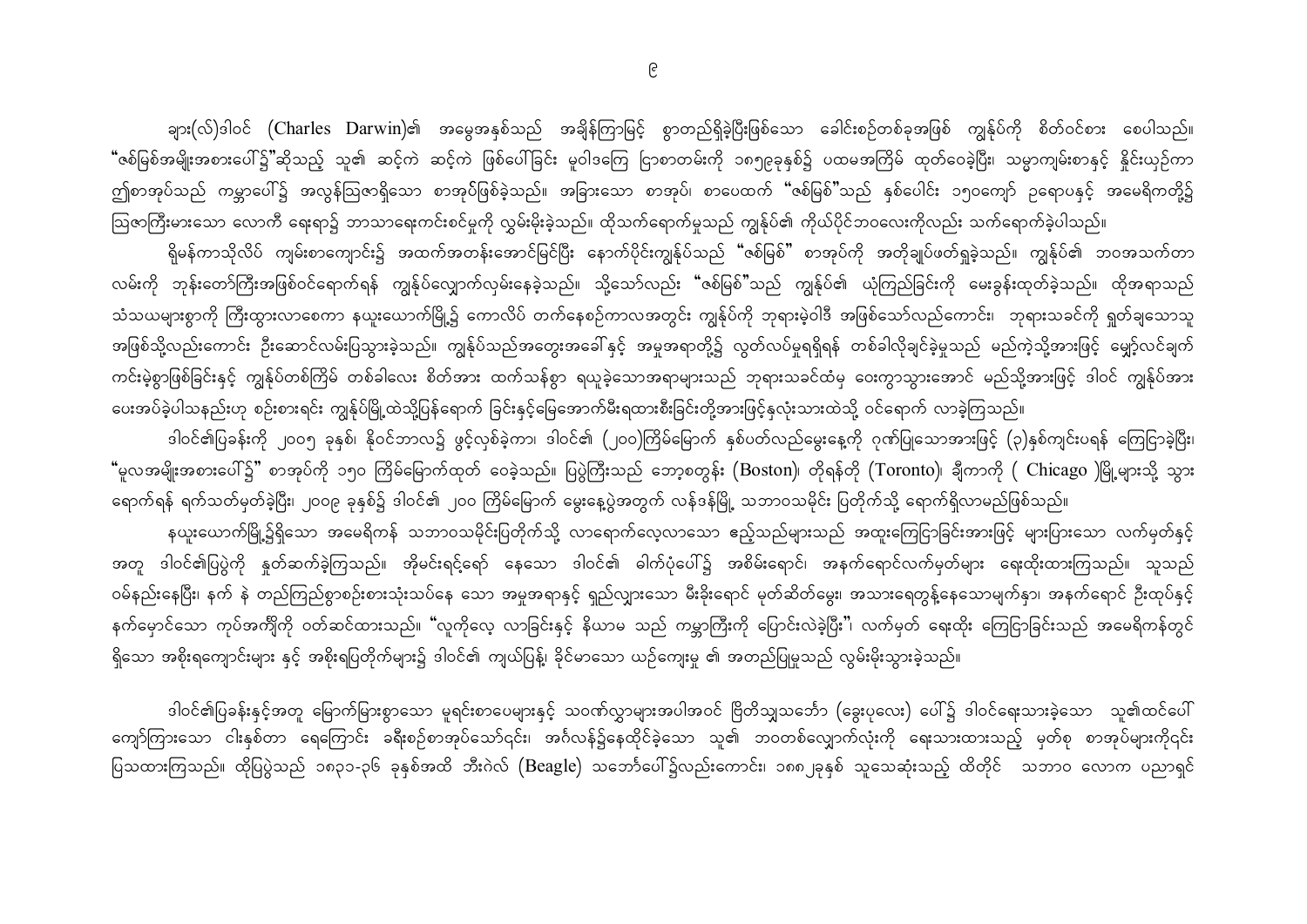ချား(လ်)ဒါဝင် (Charles Darwin)၏ အမွေအနှစ်သည် အချိန်ကြာမြင့် စွာတည်ရှိခဲ့ပြီးဖြစ်သော ခေါင်းစဉ်တစ်ခုအဖြစ် ကျွန်ုပ်ကို စိတ်ဝင်စား စေပါသည်။ "ဇစ်မြစ်အမျိုးအစားပေါ်၌"ဆိုသည့် သူ၏ ဆင့်ကဲ ဆင့်ကဲ ဖြစ်ပေါ်ခြင်း မူဝါဒကြေ ငြာစာတမ်းကို ၁၈၅၉ခုနှစ်၌ ပထမအကြိမ် ထုတ်ဝေခဲ့ပြီး၊ သမ္မာကျမ်းစာနှင့် နိူင်းယှဉ်ကာ ဤစာအုပ်သည် ကမ္ဘာပေါ်၌ အလွန်ဩဇာရှိသော စာအုပ်ဖြစ်ခဲ့သည်။ အခြားသော စာအုပ်၊ စာပေထက် "ဇစ်မြစ်"သည် နှစ်ပေါင်း ၁၅၀ကျော် ဉရောပနှင့် အမေရိကတို့၌ ဩဇာကြီးမားသော လောကီ ရေးရာ၌ ဘာသာရေးကင်းစင်မှုကို လွှမ်းမိုးခဲ့သည်။ ထိုသက်ရောက်မှုသည် ကျွန်ုပ်၏ ကိုယ်ပိုင်ဘဝလေးကိုလည်း သက်ရောက်ခဲ့ပါသည်။

ရိုမန်ကာသိုလိပ် ကျမ်းစာကျောင်း၌ အထက်အတန်းအောင်မြင်ပြီး နောက်ပိုင်းကျွန်ုပ်သည် "ဇစ်မြစ်" စာအုပ်ကို အတိုချုပ်ဖတ်ရှုခဲ့သည်။ ကျွန်ုပ်၏ ဘဝအသက်တာ လမ်းကို ဘုန်းတော်ကြီးအဖြစ်ဝင်ရောက်ရန် ကျွန်ုပ်လျှောက်လှမ်းနေခဲ့သည်။ သို့သော်လည်း "ဇစ်မြစ်"သည် ကျွန်ုပ်၏ ယုံကြည်ခြင်းကို မေးခွန်းထုတ်ခဲ့သည်။ ထိုအရာသည် သံသယများစွာကို ကြီးထွားလာစေကာ နယူးယောက်မြို့၌ ကောလိပ် တက်နေစဉ်ကာလအတွင်း ကျွန်ုပ်ကို ဘုရားမဲ့ဝါဒီ အဖြစ်သော်လည်ကောင်း၊ ဘုရားသခင်ကို ရှုတ်ချသောသူ အဖြစ်သို့လည်းကောင်း ဦးဆောင်လမ်းပြသွားခဲ့သည်။ ကျွန်ုပ်သည်အတွေးအခေါ်နှင့် အမှုအရာတို့၌ လွတ်လပ်မှုရရှိရန် တစ်ခါလိုချင်ခဲ့မှုသည် မည်ကဲ့သို့အားဖြင့် မျှော့်လင်ချက် ကင်းမဲ့စွာဖြစ်ခြင်းနှင့် ကျွန်ုပ်တစ်ကြိမ် တစ်ခါလေး စိတ်အား ထက်သန်စွာ ရယူခဲ့သောအရာများသည် ဘုရားသခင်ထံမှ ဝေးကွာသွားအောင် မည်သို့အားဖြင့် ဒါဝင် ကျွန်ုပ်အား ပေးအပ်ခဲ့ပါသနည်းဟု စဉ်းစားရင်း ကျွန်ုပ်မြို့ထဲသို့ပြန်ရောက် ခြင်းနှင့်မြေအောက်မီးရထားစီးခြင်းတို့အားဖြင့်နှလုံးသားထဲသို့ ဝင်ရောက် လာခဲ့ကြသည်။

ဒါဝင်၏ပြခန်းကို ၂၀၀၅ ခုနှစ်၊ နိုဝင်ဘာလ၌ ဖွင့်လှစ်ခဲ့ကာ၊ ဒါဝင်၏ (၂၀၀)ကြိမ်မြောက် နှစ်ပတ်လည်မွေးနေ့ကို ဂုဏ်ပြုသောအားဖြင့် (၃)နှစ်ကျင်းပရန် ကြေငြာခဲ့ပြီး၊ "မူလအမျိုးအစားပေါ်၌" စာအုပ်ကို ၁၅၀ ကြိမ်မြောက်ထုတ် ဝေခဲ့သည်။ ပြပွဲကြီးသည် ဘော့စတွန်း (Boston)၊ တိုရန်တို (Toronto)၊ ချီကာကို ( Chicago )မြို့များသို့ သွား ရောက်ရန် ရက်သတ်မှတ်ခဲ့ပြီး၊ ၂၀၀၉ ခုနှစ်၌ ဒါဝင်၏ ၂၀၀ ကြိမ်မြောက် မွေးနေ့ပွဲအတွက် လန်ဒန်မြို့ သဘာဝသမိုင်း ပြတိုက်သို့ ရောက်ရှိလာမည်ဖြစ်သည်။ နယူးယောက်မြို့၌ရှိသော အမေရိကန် သဘာဝသမိုင်းပြတိုက်သို့ လာရောက်လေ့လာသော ဧည့်သည်များသည် အထူးကြေငြာခြင်းအားဖြင့် များပြားသော လက်မှတ်နှင့် အတူ ဒါဝင်၏ပြပွဲကို နှုတ်ဆက်ခဲ့ကြသည်။ အိုမင်းရင့်ရော် နေသော ဒါဝင်၏ ဓါက်ပုံပေါ်၌ အစိမ်းရောင်၊ အနက်ရောင်လက်မှတ်များ ရေးထိုးထားကြသည်။ သူသည် ဝမ်နည်းနေပြီး၊ နက် နဲ တည်ကြည်စွာစဉ်းစားသုံးသပ်နေ သော အမှုအရာနှင့် ရှည်လျှားသော မီးခိုးရောင် မုတ်ဆိတ်မွေး၊ အသားရေတွန့်နေသောမျက်နှာ၊ အနက်ရောင် ဦးထုပ်နှင့် နက်မှောင်သော ကုပ်အက်ိုကို ဝတ်ဆင်ထားသည်။ "လူကိုလေ့ လာခြင်းနှင့် နိယာမ သည် ကမ္ဘာကြီးကို ပြောင်းလဲခဲ့ပြီး"၊ လက်မှတ် ရေးထိုး ကြေငြာခြင်းသည် အမေရိကန်တွင် ရှိသော အစိုးရကျောင်းများ နှင့် အစိုးရပြတိုက်များ၌ ဒါဝင်၏ ကျယ်ပြန့်၊ ခိုင်မာသော ယဉ်ကျေးမှု ၏ အတည်ပြမှုသည် လွမ်းမိုးသွားခဲ့သည်။

ဒါဝင်၏ပြခန်းနှင့်အတူ မြောက်မြားစွာသော မူရင်းစာပေများနှင့် သဝဏ်လွှာများအပါအဝင် ဗြိတိသျှသင်္ဘော (ခွေးပုလေး) ပေါ်၌ ဒါဝင်ရေးသားခဲ့သော သူ၏ထင်ပေါ် ကျော်ကြားသော ငါးနှစ်တာ ရေကြောင်း ခရီးစဉ်စာအုပ်သော်၎င်း၊ အင်္ဂလန်၌နေထိုင်ခဲ့သော သူ၏ ဘဝတစ်လျှောက်လုံးကို ရေးသားထားသည့် မှတ်စု စာအုပ်များကို၎င်း ပြသထားကြသည်။ ထိုပြပွဲသည် ၁၈၃၁-၃၆ ခုနှစ်အထိ ဘီးဂဲလ် (Beagle) သင်္ဘောပေါ်၌လည်းကောင်း၊ ၁၈၈၂ခုနှစ် သူသေဆုံးသည့် ထိတိုင် သဘာဝ လောက ပညာရှင်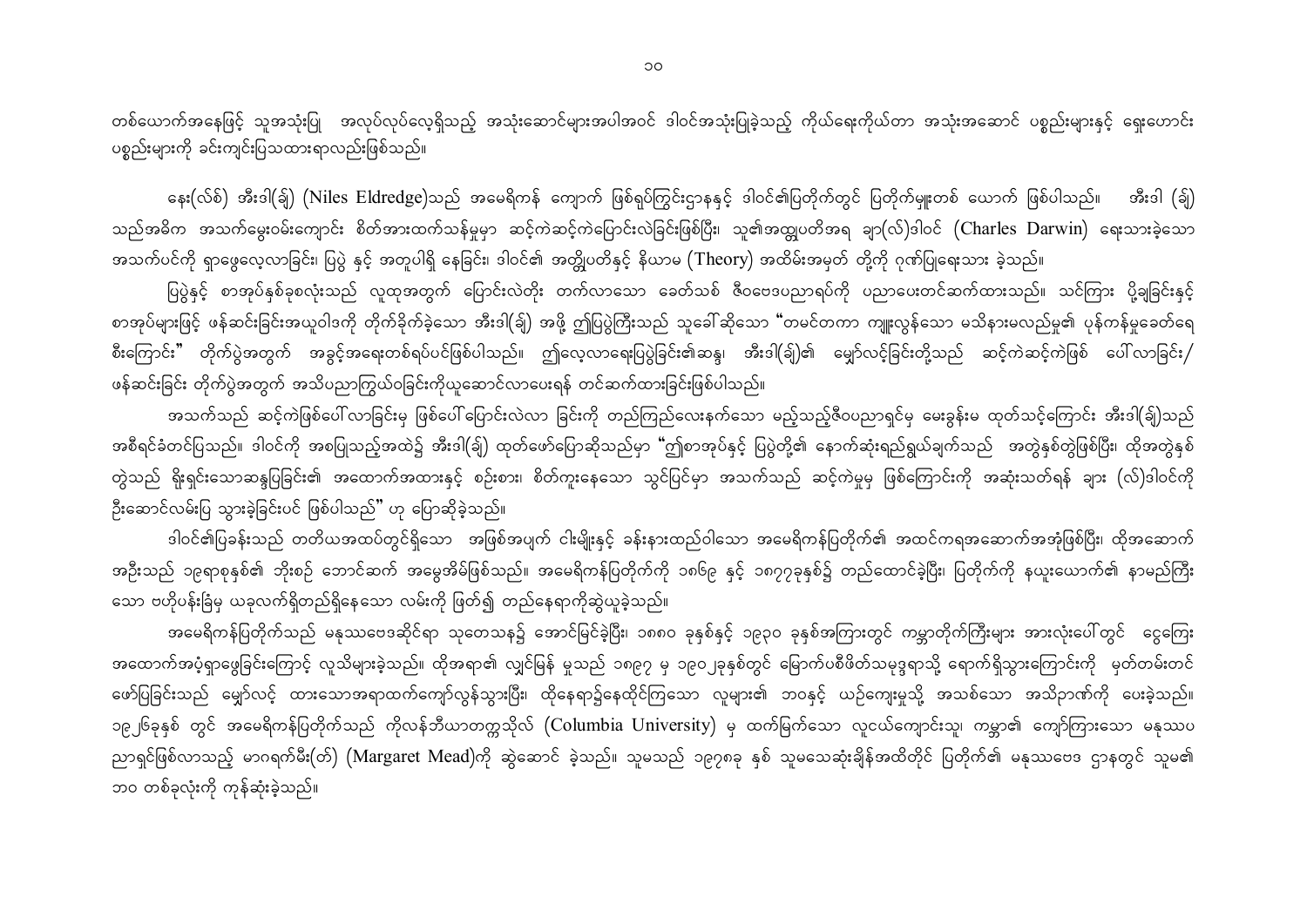တစ်ယောက်အနေဖြင့် သူအသုံးပြု အလုပ်လုပ်လေ့ရှိသည့် အသုံးဆောင်များအပါအဝင် ဒါဝင်အသုံးပြုခဲ့သည့် ကိုယ်ရေးကိုယ်တာ အသုံးအဆောင် ပစ္စည်းများနှင့် ရှေးဟောင်း ပစ္စည်းများကို ခင်းကျင်းပြသထားရာလည်းဖြစ်သည်။

နေး(လ်စ်) အီးဒါ(ခ်ျ) (Niles Eldredge)သည် အမေရိကန် ကျောက် ဖြစ်ရုပ်ကြွင်းဌာနနှင့် ဒါဝင်၏ပြတိုက်တွင် ပြတိုက်မှူးတစ် ယောက် ဖြစ်ပါသည်။ အီးဒါ (ခ်ျ) သည်အဓိက အသက်မွေးဝမ်းကျောင်း စိတ်အားထက်သန်မှုမှာ ဆင့်ကဲဆင့်ကဲပြောင်းလဲခြင်းဖြစ်ပြီး၊ သူ၏အထျွှပတိအရ ချာ(လ်)ဒါဝင် (Charles Darwin) ရေးသားခဲ့သော အသက်ပင်ကို ရှာဖွေလေ့လာခြင်း၊ ပြပွဲ နှင့် အတူပါရှိ နေခြင်း၊ ဒါဝင်၏ အတ္တိုပတိနှင့် နိယာမ (Theory) အထိမ်းအမှတ် တို့ကို ဂုဏ်ပြုရေးသား ခဲ့သည်။

ပြပွဲနှင့် စာအုပ်နှစ်ခုစလုံးသည် လူထုအတွက် ပြောင်းလဲတိုး တက်လာသော ခေတ်သစ် ဇီဝဗေဒပညာရပ်ကို ပညာပေးတင်ဆက်ထားသည်။ သင်ကြား ပို့ချခြင်းနှင့် စာအုပ်များဖြင့် ဖန်ဆင်းခြင်းအယူဝါဒကို တိုက်ခိုက်ခဲ့သော အီးဒါ(ခ်ျ) အဖို့ ဤပြပွဲကြီးသည် သူခေါ်ဆိုသော "တမင်တကာ ကျူးလွန်သော မသိနားမလည်မှု၏ ပုန်ကန်မှုခေတ်ရေ စီးကြောင်း" တိုက်ပွဲအတွက် အခွင့်အရေးတစ်ရပ်ပင်ဖြစ်ပါသည်။ ဤလေ့လာရေးပြပွဲခြင်း၏ဆန္ဒ၊ အီးဒါ(ခ်ျှ)၏ မျှော်လင့်ခြင်းတို့သည် ဆင့်ကဲဆင့်ကဲဖြစ် ပေါ်လာခြင်း/ ဖန်ဆင်းခြင်း တိုက်ပွဲအတွက် အသိပညာကြွယ်ဝခြင်းကိုယူဆောင်လာပေးရန် တင်ဆက်ထားခြင်းဖြစ်ပါသည်။

အသက်သည် ဆင့်ကဲဖြစ်ပေါ် လာခြင်းမှ ဖြစ်ပေါ်ပြောင်းလဲလာ ခြင်းကို တည်ကြည်လေးနက်သော မည့်သည့်ဇီဝပညာရှင်မှ မေးခွန်းမ ထုတ်သင့်ကြောင်း အီးဒါ(ချ်)သည် အစီရင်ခံတင်ပြသည်။ ဒါဝင်ကို အစပြုသည့်အထဲ၌ အီးဒါ(ချ်) ထုတ်ဖော်ပြောဆိုသည်မှာ "ဤစာအုပ်နှင့် ပြပွဲတို့၏ နောက်ဆုံးရည်ရွယ်ချက်သည် အတွဲနှစ်တွဲဖြစ်ပြီး၊ ထိုအတွဲနှစ် တွဲသည် ရိုးရှင်းသောဆန္ဒပြခြင်း၏ အထောက်အထားနှင့် စဉ်းစား၊ စိတ်ကူးနေသော သွင်ပြင်မှာ အသက်သည် ဆင့်ကဲမှုမှ ဖြစ်ကြောင်းကို အဆုံးသတ်ရန် ချား (လ်)ဒါဝင်ကို ဦးဆောင်လမ်းပြ သွားခဲ့ခြင်းပင် ဖြစ်ပါသည်" ဟု ပြောဆိုခဲ့သည်။

ဒါဝင်၏ပြခန်းသည် တတိယအထပ်တွင်ရှိသော အဖြစ်အပျက် ငါးမျိုးနှင့် ခန်းနားထည်ဝါသော အမေရိကန်ပြတိုက်၏ အထင်ကရအဆောက်အအုံဖြစ်ပြီး၊ ထိုအဆောက် အဦးသည် ၁၉ရာစုနှစ်၏ ဘိုးစဉ် ဘောင်ဆက် အမွေအိမ်ဖြစ်သည်။ အမေရိကန်ပြတိုက်ကို ၁၈၆၉ နှင့် ၁၈၇၇ခုနှစ်၌ တည်ထောင်ခဲ့ပြီး၊ ပြတိုက်ကို နယူးယောက်၏ နာမည်ကြီး သော ဗဟိုပန်းခြံမှ ယခုလက်ရှိတည်ရှိနေသော လမ်းကို ဖြတ်၍ တည်နေရာကိုဆွဲယူခဲ့သည်။

အမေရိကန်ပြတိုက်သည် မနုဿဗေဒဆိုင်ရာ သုတေသန၌ အောင်မြင်ခဲ့ပြီး၊ ၁၈၈ဝ ခုနှစ်နှင့် ၁၉၃ဝ ခုနှစ်အကြားတွင် ကမ္ဘာတိုက်ကြီးများ အားလုံးပေါ်တွင် ငွေကြေး အထောက်အပံ့ရှာဖွေခြင်းကြောင့် လူသိများခဲ့သည်။ ထိုအရာ၏ လျှင်မြန် မူသည် ၁၈၉၇ မှ ၁၉၀၂ခုနှစ်တွင် မြောက်ပစီဖိတ်သမုဒ္ဒရာသို့ ရောက်ရှိသွားကြောင်းကို မှတ်တမ်းတင် ဖော်ပြခြင်းသည် မျှော်လင့် ထားသောအရာထက်ကျော်လွန်သွားပြီး၊ ထိုနေရာ၌နေထိုင်ကြသော လူများ၏ ဘဝနှင့် ယဉ်ကျေးမှုသို့ အသစ်သော အသိဉာဏ်ကို ပေးခဲ့သည်။ ၁၉၂၆ခုနှစ် တွင် အမေရိကန်ပြတိုက်သည် ကိုလန်ဘီယာတက္ကသိုလ် (Columbia University) မှ ထက်မြက်သော လူငယ်ကျောင်းသူ၊ ကမ္ဘာ၏ ကျော်ကြားသော မနုဿပ ညာရှင်ဖြစ်လာသည့် မာဂရက်မီး(တ်) (Margaret Mead)ကို ဆွဲဆောင် ခဲ့သည်။ သူမသည် ၁၉၇၈ခု နှစ် သူမသေဆုံးချိန်အထိတိုင် ပြတိုက်၏ မနုဿဗေဒ ဌာနတွင် သူမ၏ ဘဝ တစ်ခုလုံးကို ကုန်ဆုံးခဲ့သည်။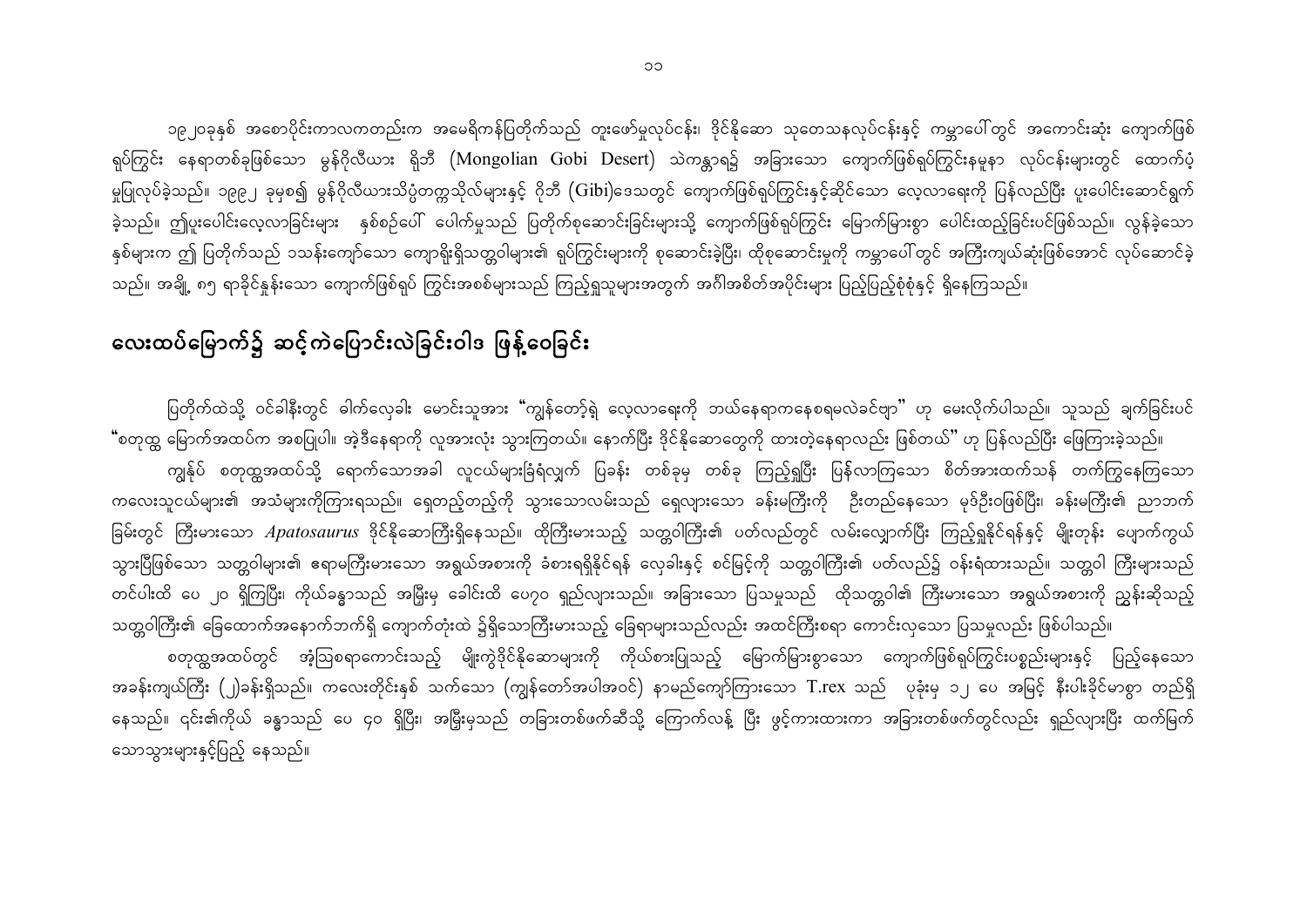၁၉၂၀ခုနှစ် အစောပိုင်းကာလကတည်းက အမေရိကန်ပြတိုက်သည် တူးဖော်မှုလုပ်ငန်း၊ ဒိုင်နိုဆော သုတေသနလုပ်ငန်းနှင့် ကမ္ဘာပေါ်တွင် အကောင်းဆုံး ကျောက်ဖြစ် ရုပ်ကြွင်း နေရာတစ်ခုဖြစ်သော မွန်ဂိုလီယား ရိုဘီ (Mongolian Gobi Desert) သဲကန္တာရ၌ အခြားသော ကျောက်ဖြစ်ရုပ်ကြွင်းနမူနာ လုပ်ငန်းများတွင် ထောက်ပံ့ မှုပြုလုပ်ခဲ့သည်။ ၁၉၉၂ ခုမှစ၍ မွန်ဂိုလီယားသိပ္ပံတက္ကသိုလ်များနှင့် ဂိုဘီ (Gibi)ဒေသတွင် ကျောက်ဖြစ်ရုပ်ကြွင်းနှင့်ဆိုင်သော လေ့လာရေးကို ပြန်လည်ပြီး ပူးပေါင်းဆောင်ရွက် ခဲ့သည်။ ဤပူးပေါင်းလေ့လာခြင်းများ နှစ်စဉ်ပေါ် ပေါက်မှုသည် ပြတိုက်စုဆောင်းခြင်းများသို့ ကျောက်ဖြစ်ရုပ်ကြွင်း မြောက်မြားစွာ ပေါင်းထည့်ခြင်းပင်ဖြစ်သည်။ လွန်ခဲ့သော နှစ်များက ဤ ပြတိုက်သည် ၁သန်းကျော်သော ကျောရိုးရှိသတ္တဝါများ၏ ရုပ်ကြွင်းများကို စုဆောင်းခဲ့ပြီး၊ ထိုစုဆောင်မှကို ကမ္ဘာပေါ်တွင် အကြီးကျယ်ဆုံးဖြစ်အောင် လုပ်ဆောင်ခဲ့ သည်။ အချို့ ၈၅ ရာခိုင်နှုန်းသော ကျောက်ဖြစ်ရုပ် ကြွင်းအစစ်များသည် ကြည့်ရှုသူများအတွက် အင်္ဂါအစိတ်အပိုင်းများ ပြည့်ပြည့်စုံစုံနှင့် ရှိနေကြသည်။

## လေးထပ်မြောက်၌ ဆင့်ကဲပြောင်းလဲခြင်းဝါဒ ဖြန့်ဝေခြင်း

ပြတိုက်ထဲသို့ ဝင်ခါနီးတွင် ဓါက်လှေခါး မောင်းသူအား "ကျွန်တော့်ရဲ့ လေ့လာရေးကို ဘယ်နေရာကနေစရမလဲခင်ဗျာ" ဟု မေးလိုက်ပါသည်။ သူသည် ချက်ခြင်းပင် "စတုထ္က မြောက်အထပ်က အစပြုပါ။ အဲ့ဒီနေရာကို လူအားလုံး သွားကြတယ်။ နောက်ပြီး ဒိုင်နိုဆောတွေကို ထားတဲ့နေရာလည်း ဖြစ်တယ်" ဟု ပြန်လည်ပြီး ဖြေကြားခဲ့သည်။ ကျွန်ုပ် စတုထ္ကအထပ်သို့ ရောက်သောအခါ လူငယ်များခြံရံလျှက် ပြခန်း တစ်ခုမှ တစ်ခု ကြည့်ရှုပြီး ပြန်လာကြသော စိတ်အားထက်သန် တက်ကြွနေကြသော ကလေးသူငယ်များ၏ အသံများကိုကြားရသည်။ ရှေတည့်တည့်ကို သွားသောလမ်းသည် ရှေလျားသော ခန်းမကြီးကို ဦးတည်နေသော မုဒ်ဦးဝဖြစ်ပြီး၊ ခန်းမကြီး၏ ညာဘက် ခြမ်းတွင် ကြီးမားသော *Apatosaurus* ဒိုင်နိုဆောကြီးရှိနေသည်။ ထိုကြီးမားသည့် သတ္တဝါကြီး၏ ပတ်လည်တွင် လမ်းလျှောက်ပြီး ကြည့်ရှုနိုင်ရန်နှင့် မျိုးတုန်း ပျောက်ကွယ် သွားပြီဖြစ်သော သတ္တဝါများ၏ ဧရာမကြီးမားသော အရွယ်အစားကို ခံစားရရှိနိုင်ရန် လှေခါးနှင့် စင်မြင့်ကို သတ္တဝါကြီး၏ ပတ်လည်၌ ဝန်းရံထားသည်။ သတ္တဝါ ကြီးများသည် တင်ပါးထိ ပေ ၂၀ ရှိကြပြီး၊ ကိုယ်ခန္ဓာသည် အမြှီးမှ ခေါင်းထိ ပေ၇၀ ရှည်လျားသည်။ အခြားသော ပြသမှုသည် ထိုသတ္တဝါ၏ ကြီးမားသော အရွယ်အစားကို ညွှန်းဆိုသည့် သတ္တဝါကြီး၏ ခြေထောက်အနောက်ဘက်ရှိ ကျောက်တုံးထဲ ၌ရှိသောကြီးမားသည့် ခြေရာများသည်လည်း အထင်ကြီးစရာ ကောင်းလှသော ပြသမူလည်း ဖြစ်ပါသည်။ စတုထ္ထအထပ်တွင် အံ့ဩစရာကောင်းသည့် မျိုးကွဲဒိုင်နိုဆောများကို ကိုယ်စားပြုသည့် မြောက်မြားစွာသော ကျောက်ဖြစ်ရုပ်ကြွင်းပစ္စည်းများနှင့် ပြည့်နေသော

အခန်းကျယ်ကြီး (၂)ခန်းရှိသည်။ ကလေးတိုင်းနှစ် သက်သော (ကျွန်တော်အပါအဝင်) နာမည်ကျော်ကြားသော T.rex သည် ပုခုံးမှ ၁၂ ပေ အမြင့် နီးပါးခိုင်မာစွာ တည်ရှိ နေသည်။ ၎င်း၏ကိုယ် ခန္ဓာသည် ပေ ၄ဝ ရှိပြီး၊ အမြှီးမှသည် တခြားတစ်ဖက်ဆီသို့ ကြောက်လန့် ပြီး ဖွင့်ကားထားကာ အခြားတစ်ဖက်တွင်လည်း ရှည်လျားပြီး ထက်မြက် သောသွားများနှင့်ပြည့် နေသည်။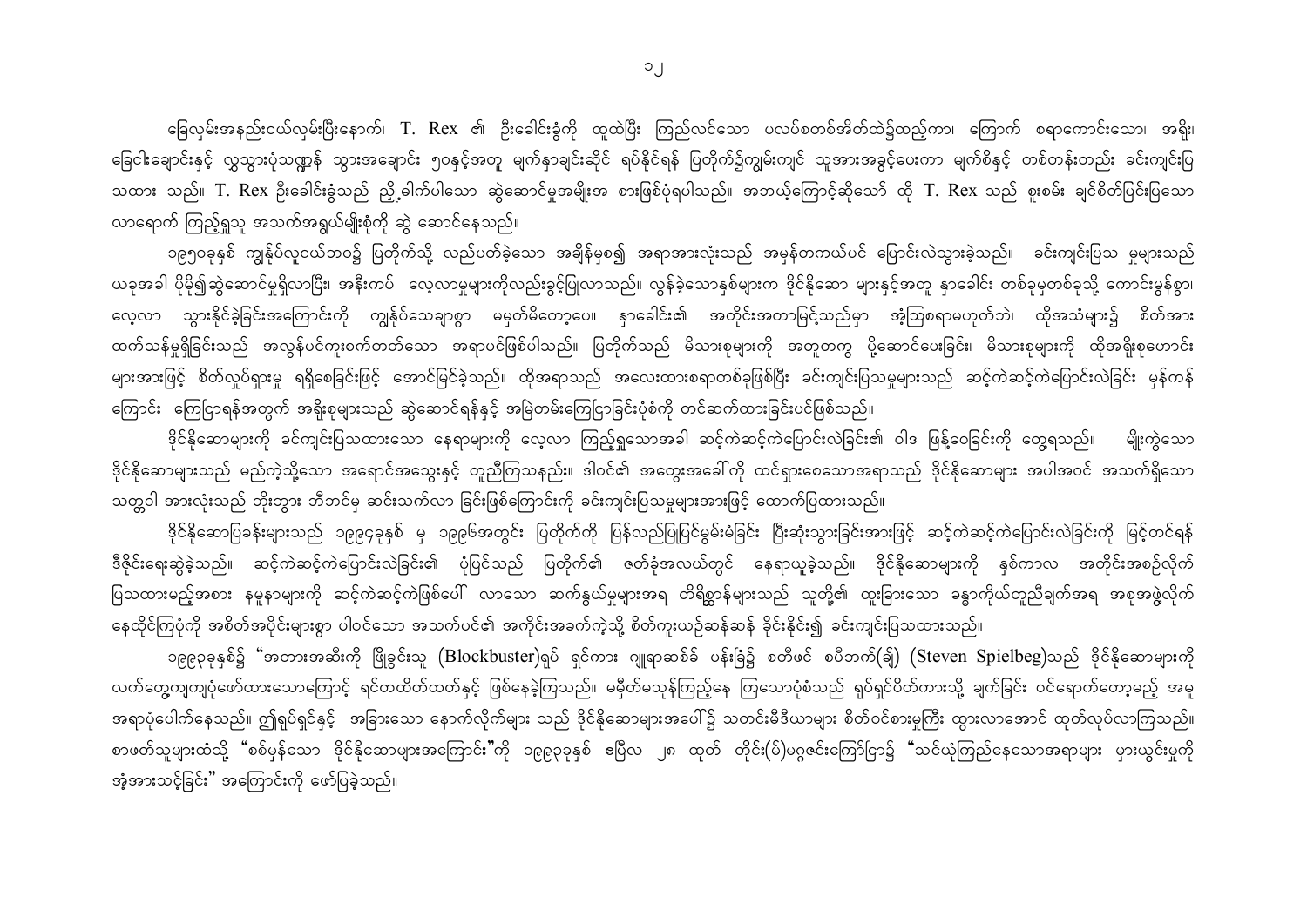ခြေလှမ်းအနည်းငယ်လှမ်းပြီးနောက်၊ T. Rex ၏ ဦးခေါင်းခွံကို ထူထဲပြီး ကြည်လင်သော ပလပ်စတစ်အိတ်ထဲ၌ထည့်ကာ၊ ကြောက် စရာကောင်းသော၊ အရိုး၊ ခြေငါးချောင်းနှင့် လွှသွားပုံသဏ္ဍန် သွားအချောင်း ၅ဝနှင့်အတူ မျက်နှာချင်းဆိုင် ရပ်နိုင်ရန် ပြတိုက်၌ကျွမ်းကျင် သူအားအခွင့်ပေးကာ မျက်စိနှင့် တစ်တန်းတည်း ခင်းကျင်းပြ သထား သည်။ T. Rex ဦးခေါင်းခွံသည် ညှို့ခါက်ပါသော ဆွဲဆောင်မှုအမျိုးအ စားဖြစ်ပုံရပါသည်။ အဘယ့်ကြောင့်ဆိုသော် ထို T. Rex သည် စူးစမ်း ချင်စိတ်ပြင်းပြသော လာရောက် ကြည့်ရှုသူ အသက်အရွယ်မျိုးစုံကို ဆွဲ ဆောင်နေသည်။

၁၉၅ဝခုနှစ် ကျွန်ုပ်လူငယ်ဘဝ၌ ပြတိုက်သို့ လည်ပတ်ခဲ့သော အချိန်မှစ၍ အရာအားလုံးသည် အမှန်တကယ်ပင် ပြောင်းလဲသွားခဲ့သည်။ ခင်းကျင်းပြသ မူများသည် ယခုအခါ ပိုမို၍ဆွဲဆောင်မှုရှိလာပြီး၊ အနီးကပ် လေ့လာမှုများကိုလည်းခွင့်ပြုလာသည်။ လွန်ခဲ့သောနှစ်များက ဒိုင်နိုဆော များနှင့်အတူ နှာခေါင်း တစ်ခုမှတစ်ခုသို့ ကောင်းမွန်စွာ၊ လေ့လာ သွားနိုင်ခဲ့ခြင်းအကြောင်းကို ကျွန်ုပ်သေချာစွာ မမှတ်မိတော့ပေ။ နှာခေါင်း၏ အတိုင်းအတာမြင့်သည်မှာ အံ့ဩစရာမဟုတ်ဘဲ၊ ထိုအသံများ၌ စိတ်အား ထက်သန်မှုရှိခြင်းသည် အလွန်ပင်ကူးစက်တတ်သော အရာပင်ဖြစ်ပါသည်။ ပြတိုက်သည် မိသားစုများကို အတူတကွ ပို့ဆောင်ပေးခြင်း၊ မိသားစုများကို ထိုအရိုးစုဟောင်း များအားဖြင့် စိတ်လှုပ်ရှားမှု ရရှိစေခြင်းဖြင့် အောင်မြင်ခဲ့သည်။ ထိုအရာသည် အလေးထားစရာတစ်ခုဖြစ်ပြီး ခင်းကျင်းပြသမျှများသည် ဆင့်ကဲဆင့်ကဲပြောင်းလဲခြင်း မှန်ကန် ကြောင်း ကြေငြာရန်အတွက် အရိုးစုများသည် ဆွဲဆောင်ရန်နှင့် အမြဲတမ်းကြေငြာခြင်းပုံစံကို တင်ဆက်ထားခြင်းပင်ဖြစ်သည်။

ဒိုင်နိုဆောများကို ခင်ကျင်းပြသထားသော နေရာများကို လေ့လာ ကြည့်ရှုသောအခါ ဆင့်ကဲဆင့်ကဲပြောင်းလဲခြင်း၏ ဝါဒ ဖြန့်ဝေခြင်းကို တွေ့ရသည်။ မျိုးကွဲသော ဒိုင်နိုဆောများသည် မည်ကဲ့သို့သော အရောင်အသွေးနှင့် တူညီကြသနည်း။ ဒါဝင်၏ အတွေးအခေါ်ကို ထင်ရှားစေသောအရာသည် ဒိုင်နိုဆောများ အပါအဝင် အသက်ရှိသော သတ္တဝါ အားလုံးသည် ဘိုးဘွား ဘီဘင်မှ ဆင်းသက်လာ ခြင်းဖြစ်ကြောင်းကို ခင်းကျင်းပြသမှုများအားဖြင့် ထောက်ပြထားသည်။

ဒိုင်နိုဆောပြခန်းများသည် ၁၉၉၄ခုနှစ် မှ ၁၉၉၆အတွင်း ပြတိုက်ကို ပြန်လည်ပြုပြင်မွမ်းမံခြင်း ပြီးဆုံးသွားခြင်းအားဖြင့် ဆင့်ကဲဆင့်ကဲပြောင်းလဲခြင်းကို မြင့်တင်ရန် ဒီဇိုင်းရေးဆွဲခဲ့သည်။ ဆင့်ကဲဆင့်ကဲပြောင်းလဲခြင်း၏ ပုံပြင်သည် ပြတိုက်၏ ဇတ်ခုံအလယ်တွင် နေရာယူခဲ့သည်။ ဒိုင်နိုဆောများကို နှစ်ကာလ အတိုင်းအစဉ်လိုက် ပြသထားမည့်အစား နမူနာများကို ဆင့်ကဲဆင့်ကဲဖြစ်ပေါ် လာသော ဆက်နွယ်မှုများအရ တိရိစ္ဆာန်များသည် သူတို့၏ ထူးခြားသော ခန္ဓာကိုယ်တူညီချက်အရ အစုအဖွဲ့လိုက် နေထိုင်ကြပုံကို အစိတ်အပိုင်းများစွာ ပါဝင်သော အသက်ပင်၏ အကိုင်းအခက်ကဲ့သို့ စိတ်ကူးယဉ်ဆန်ဆန် ခိုင်းနိုင်း၍ ခင်းကျင်းပြသထားသည်။

၁၉၉၃ခုနှစ်၌ "အတားအဆီးကို ဖြိုခွင်းသူ (Blockbuster)ရုပ် ရှင်ကား ဂျူရာဆစ်ခ် ပန်းခြံ၌ စတီဖင် စပီဘက်(ခ်ျ) (Steven Spielbeg)သည် ဒိုင်နိုဆောများကို လက်တွေ့ကျကျပုံဖော်ထားသောကြောင့် ရင်တထိတ်ထတ်နှင့် ဖြစ်နေခဲ့ကြသည်။ မမှီတ်မသုန်ကြည့်နေ ကြသောပုံစံသည် ရုပ်ရှင်ပိတ်ကားသို့ ချက်ခြင်း ဝင်ရောက်တော့မည့် အမူ အရာပုံပေါက်နေသည်။ ဤရုပ်ရှင်နှင့် အခြားသော နောက်လိုက်များ သည် ဒိုင်နိုဆောများအပေါ်၌ သတင်းမီဒီယာများ စိတ်ဝင်စားမှုကြီး ထွားလာအောင် ထုတ်လုပ်လာကြသည်။ စာဖတ်သူများထံသို့ "စစ်မှန်သော ဒိုင်နိုဆောများအကြောင်း"ကို ၁၉၉၃ခုနှစ် ဧပြီလ ၂၈ ထုတ် တိုင်း(မ်)မဂ္ဂဇင်းကြော်ငြာ၌ "သင်ယုံကြည်နေသောအရာများ မှားယွင်းမှုကို အံ့အားသင့်ခြင်း" အကြောင်းကို ဖော်ပြခဲ့သည်။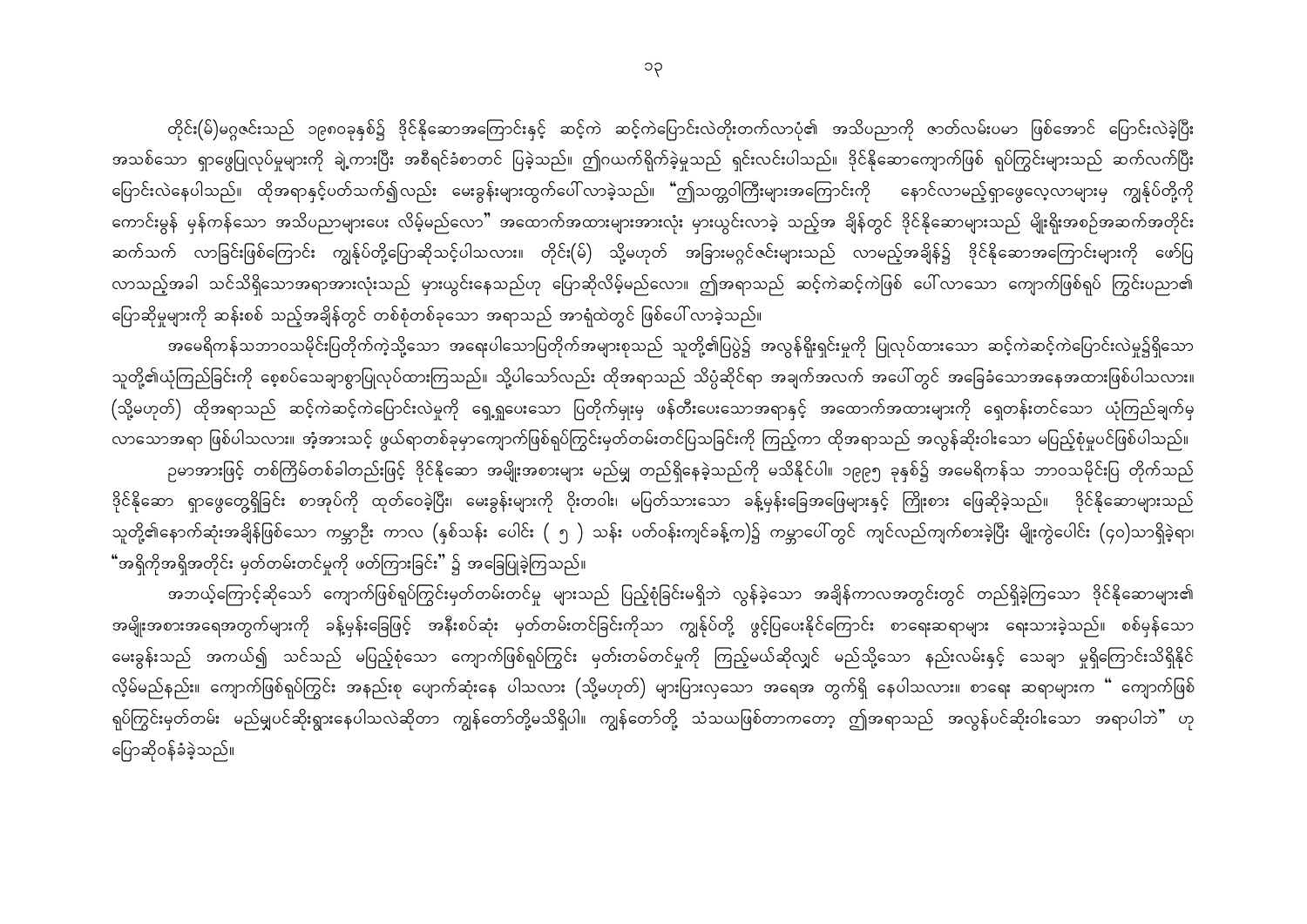တိုင်း(မ်)မဂ္ဂဇင်းသည် ၁၉၈၀ခုနှစ်၌ ဒိုင်နိုဆောအကြောင်းနှင့် ဆင့်ကဲ ဆင့်ကဲပြောင်းလဲတိုးတက်လာပုံ၏ အသိပညာကို ဇာတ်လမ်းပမာ ဖြစ်အောင် ပြောင်းလဲခဲ့ပြီး အသစ်သော ရှာဖွေပြုလုပ်မှုများကို ချဲ့ကားပြီး အစီရင်ခံစာတင် ပြခဲ့သည်။ ဤဂယက်ရိုက်ခဲ့မှုသည် ရှင်းလင်းပါသည်။ ဒိုင်နိုဆောကျောက်ဖြစ် ရုပ်ကြွင်းများသည် ဆက်လက်ပြီး ပြောင်းလဲနေပါသည်။ ထိုအရာနှင့်ပတ်သက်၍လည်း မေးခွန်းများထွက်ပေါ်လာခဲ့သည်။ **"**ဤသတ္တဝါကြီးများအကြောင်းကို နောင်လာမည့်ရှာဖွေလေ့လာများမှ ကျွန်ုပ်တို့ကို ကောင်းမွန် မှန်ကန်သော အသိပညာများပေး လိမ့်မည်လော" အထောက်အထားများအားလုံး မှားယွင်းလာခဲ့ သည့်အ ချိန်တွင် ဒိုင်နိုဆောများသည် မျိုးရိုးအစဉ်အဆက်အတိုင်း ဆက်သက် လာခြင်းဖြစ်ကြောင်း ကျွန်ုပ်တို့ပြောဆိုသင့်ပါသလား။ တိုင်း(မ်) သို့မဟုတ် အခြားမဂ္ဂင်ဇင်းများသည် လာမည့်အချိန်၌ ဒိုင်နိုဆောအကြောင်းများကို ဖော်ပြ လာသည့်အခါ သင်သိရှိသောအရာအားလုံးသည် မှားယွင်းနေသည်ဟု ပြောဆိုလိမ့်မည်လော။ ဤအရာသည် ဆင့်ကဲဆင့်ကဲဖြစ် ပေါ်လာသော ကျောက်ဖြစ်ရုပ် ကြွင်းပညာ၏ ပြောဆိုမှုများကို ဆန်းစစ် သည့်အချိန်တွင် တစ်စုံတစ်ခုသော အရာသည် အာရုံထဲတွင် ဖြစ်ပေါ် လာခဲ့သည်။

အမေရိကန်သဘာဝသမိုင်းပြတိုက်ကဲ့သို့သော အရေးပါသောပြတိုက်အများစုသည် သူတို့၏ပြပွဲ၌ အလွန်ရိုးရှင်းမှုကို ပြုလုပ်ထားသော ဆင့်ကဲဆင့်ကဲပြောင်းလဲမှု၌ရှိသော သူတို့၏ယုံကြည်ခြင်းကို စေ့စပ်သေချာစွာပြုလုပ်ထားကြသည်။ သို့ပါသော်လည်း ထိုအရာသည် သိပ္ပံဆိုင်ရာ အချက်အလက် အပေါ်တွင် အခြေခံသောအနေအထားဖြစ်ပါသလား။ (သို့မဟုတ်) ထိုအရာသည် ဆင့်ကဲဆင့်ကဲပြောင်းလဲမှုကို ရှေ့ရှုပေးသော ပြတိုက်မှုးမှ ဖန်တီးပေးသောအရာနှင့် အထောက်အထားများကို ရှေတန်းတင်သော ယုံကြည်ချက်မှ လာသောအရာ ဖြစ်ပါသလား။ အံ့အားသင့် ဖွယ်ရာတစ်ခုမှာကျောက်ဖြစ်ရုပ်ကြွင်းမှတ်တမ်းတင်ပြသခြင်းကို ကြည့်ကာ ထိုအရာသည် အလွန်ဆိုးဝါးသော မပြည့်စုံမှုပင်ဖြစ်ပါသည်။ ဉမာအားဖြင့် တစ်ကြိမ်တစ်ခါတည်းဖြင့် ဒိုင်နိုဆော အမျိုးအစားများ မည်မျှ တည်ရှိနေခဲ့သည်ကို မသိနိုင်ပါ။ ၁၉၉၅ ခုနှစ်၌ အမေရိကန်သ ဘာဝသမိုင်းပြ တိုက်သည် ဒိုင်နိုဆော ရှာဖွေတွေ့ရှိခြင်း စာအုပ်ကို ထုတ်ဝေခဲ့ပြီး၊ မေးခွန်းများကို ဝိုးတဝါး၊ မပြတ်သားသော ခန့်မှန်းခြေအဖြေများနှင့် ကြိုးစား ဖြေဆိုခဲ့သည်။ ဒိုင်နိုဆောများသည် သူတို့၏နောက်ဆုံးအချိန်ဖြစ်သော ကမ္ဘာဦး ကာလ (နှစ်သန်း ပေါင်း ( ၅ ) သန်း ပတ်ဝန်းကျင်ခန့်က)၌ ကမ္ဘာပေါ်တွင် ကျင်လည်ကျက်စားခဲ့ပြီး မျိုးကွဲပေါင်း (၄၀)သာရှိခဲ့ရာ၊ "အရှိကိုအရှိအတိုင်း မှတ်တမ်းတင်မှုကို ဖတ်ကြားခြင်း" ၌ အခြေပြုခဲ့ကြသည်။

အဘယ့်ကြောင့်ဆိုသော် ကျောက်ဖြစ်ရုပ်ကြွင်းမှတ်တမ်းတင်မှု များသည် ပြည့်စုံခြင်းမရှိဘဲ လွန်ခဲ့သော အချိန်ကာလအတွင်းတွင် တည်ရှိခဲ့ကြသော ဒိုင်နိုဆောများ၏ အမျိုးအစားအရေအတွက်များကို ခန့်မှန်းခြေဖြင့် အနီးစပ်ဆုံး မှတ်တမ်းတင်ခြင်းကိုသာ ကျွန်ုပ်တို့ ဖွင့်ပြပေးနိုင်ကြောင်း စာရေးဆရာများ ရေးသားခဲ့သည်။ စစ်မှန်သော မေးခွန်းသည် အကယ်၍ သင်သည် မပြည့်စုံသော ကျောက်ဖြစ်ရုပ်ကြွင်း မှတ်းတမ်တင်မှုကို ကြည့်မယ်ဆိုလျှင် မည်သို့သော နည်းလမ်းနှင့် သေချာ မှုရှိကြောင်းသိရှိနိုင် လိုမ်မည်နည်း။ ကျောက်ဖြစ်ရုပ်ကြွင်း အနည်းစု ပျောက်ဆုံးနေ ပါသလား (သို့မဟုတ်) များပြားလှသော အရေအ တွက်ရှိ နေပါသလား။ စာရေး ဆရာများက " ကျောက်ဖြစ် ရုပ်ကြွင်းမှတ်တမ်း မည်မျှပင်ဆိုးရွားနေပါသလဲဆိုတာ ကျွန်တော်တို့မသိရှိပါ။ ကျွန်တော်တို့ သံသယဖြစ်တာကတော့ ဤအရာသည် အလွန်ပင်ဆိုးဝါးသော အရာပါဘဲ" ဟု ပြောဆိုဝန်ခံခဲ့သည်။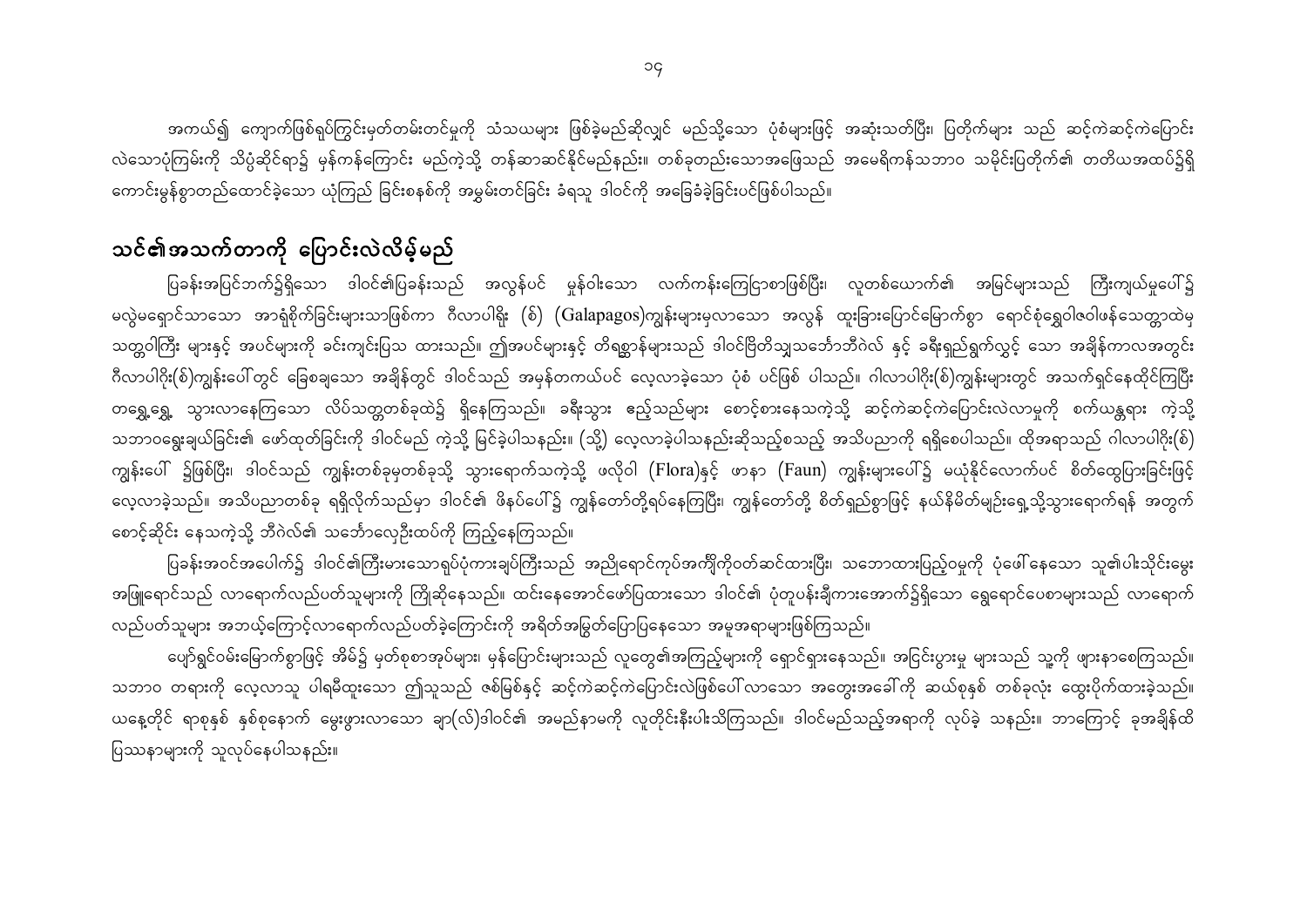အကယ်၍ ကျောက်ဖြစ်ရုပ်ကြွင်းမှတ်တမ်းတင်မှုကို သံသယများ ဖြစ်ခဲ့မည်ဆိုလျှင် မည်သို့သော ပုံစံများဖြင့် အဆုံးသတ်ပြီး၊ ပြတိုက်များ သည် ဆင့်ကဲဆင့်ကဲပြောင်း လဲသောပုံကြမ်းကို သိပ္ပံဆိုင်ရာ၌ မှန်ကန်ကြောင်း မည်ကဲ့သို့ တန်ဆာဆင်နိုင်မည်နည်း။ တစ်ခုတည်းသောအဖြေသည် အမေရိကန်သဘာဝ သမိုင်းပြတိုက်၏ တတိယအထပ်၌ရှိ ကောင်းမွန်စွာတည်ထောင်ခဲ့သော ယုံကြည် ခြင်းစနစ်ကို အမွှမ်းတင်ခြင်း ခံရသူ ဒါဝင်ကို အခြေခံခဲ့ခြင်းပင်ဖြစ်ပါသည်။

## သင်၏အသက်တာကို ပြောင်းလဲလိမ့်မည်

ပြခန်းအပြင်ဘက်၌ရှိသော ဒါဝင်၏ပြခန်းသည် အလွန်ပင် မှုန်ဝါးသော လက်ကန်းကြေငြာစာဖြစ်ပြီး၊ လူတစ်ယောက်၏ အမြင်များသည် ကြီးကျယ်မှုပေါ်၌ မလွဲမရှောင်သာသော အာရုံစိုက်ခြင်းများသာဖြစ်ကာ ဂီလာပါရိုး (စ်) (Galapagos)ကျွန်းများမှလာသော အလွန် ထူးခြားပြောင်မြောက်စွာ ရောင်စုံရွှေဝါဇဝါဖန်သေတ္တာထဲမှ သတ္တဝါကြီး များနှင့် အပင်များကို ခင်းကျင်းပြသ ထားသည်။ ဤအပင်များနှင့် တိရစ္ဆာန်များသည် ဒါဝင်ဗြိတိသျှသင်္ဘောဘီဂဲလ် နှင့် ခရီးရှည်ရွက်လွှင့် သော အချိန်ကာလအတွင်း ဂီလာပါဂိုး(စ်)ကျွန်းပေါ်တွင် ခြေစချသော အချိန်တွင် ဒါဝင်သည် အမှန်တကယ်ပင် လေ့လာခဲ့သော ပုံစံ ပင်ဖြစ် ပါသည်။ ဂါလာပါဂိုး(စ်)ကျွန်းများတွင် အသက်ရှင်နေထိုင်ကြပြီး တရွှေ့ရွှေ့ သွားလာနေကြသော လိပ်သတ္တတစ်ခုထဲ၌ ရှိနေကြသည်။ ခရီးသွား ဧည့်သည်များ စောင့်စားနေသကဲ့သို့ ဆင့်ကဲဆင့်ကဲပြောင်းလဲလာမှုကို စက်ယန္တရား ကဲ့သို့ သဘာဝရွေးချယ်ခြင်း၏ ဖော်ထုတ်ခြင်းကို ဒါဝင်မည် ကဲ့သို့ မြင်ခဲ့ပါသနည်း။ (သို့) လေ့လာခဲ့ပါသနည်းဆိုသည့်စသည့် အသိပညာကို ရရှိစေပါသည်။ ထိုအရာသည် ဂါလာပါဂိုး(စ်) ကျွန်းပေါ် ၌ဖြစ်ပြီး၊ ဒါဝင်သည် ကျွန်းတစ်ခုမှတစ်ခုသို့ သွားရောက်သကဲ့သို့ ဖလိုဝါ (Flora)နှင့် ဖာနာ (Faun) ကျွန်းများပေါ်၌ မယုံနိုင်လောက်ပင် စိတ်ထွေပြားခြင်းဖြင့် လေ့လာခဲ့သည်။ အသိပညာတစ်ခု ရရှိလိုက်သည်မှာ ဒါဝင်၏ ဖိနပ်ပေါ်၌ ကျွန်တော်တို့ရပ်နေကြပြီး၊ ကျွန်တော်တို့ စိတ်ရှည်စွာဖြင့် နယ်နိမိတ်မျဉ်းရှေ့သို့သွားရောက်ရန် အတွက် စောင့်ဆိုင်း နေသကဲ့သို့ ဘီဂဲလ်၏ သင်္ဘောလှေဦးထပ်ကို ကြည့်နေကြသည်။

ပြခန်းအဝင်အပေါက်၌ ဒါဝင်၏ကြီးမားသောရုပ်ပုံကားချပ်ကြီးသည် အညိုရောင်ကုပ်အက်ိျကိုဝတ်ဆင်ထားပြီး၊ သဘောထားပြည့်ဝမှုကို ပုံဖေါ်နေသော သူ၏ပါးသိုင်းမွေး အဖြူရောင်သည် လာရောက်လည်ပတ်သူများကို ကြိုဆိုနေသည်။ ထင်းနေအောင်ဖော်ပြထားသော ဒါဝင်၏ ပုံတူပန်းချီကားအောက်၌ရှိသော ရွေရောင်ပေစာများသည် လာရောက် လည်ပတ်သူများ အဘယ့်ကြောင့်လာရောက်လည်ပတ်ခဲ့ကြောင်းကို အရိတ်အမြွတ်ပြောပြနေသော အမူအရာများဖြစ်ကြသည်။

ပျော်ရွင်ဝမ်းမြောက်စွာဖြင့် အိမ်၌ မှတ်စုစာအုပ်များ၊ မှန်ပြောင်းများသည် လူတွေ၏အကြည့်များကို ရှောင်ရှားနေသည်။ အငြင်းပွားမှု များသည် သူ့ကို ဖျားနာစေကြသည်။ သဘာဝ တရားကို လေ့လာသူ ပါရမီထူးသော ဤသူသည် ဇစ်မြစ်နှင့် ဆင့်ကဲဆင့်ကဲပြောင်းလဲဖြစ်ပေါ် လာသော အတွေးအခေါ်ကို ဆယ်စုနှစ် တစ်ခုလုံး ထွေးပိုက်ထားခဲ့သည်။ ယနေ့တိုင် ရာစုနှစ် နှစ်စုနောက် မွေးဖွားလာသော ချာ(လ်)ဒါဝင်၏ အမည်နာမကို လူတိုင်းနီးပါးသိကြသည်။ ဒါဝင်မည်သည့်အရာကို လုပ်ခဲ့ သနည်း။ ဘာကြောင့် ခုအချိန်ထိ ပြဿနာများကို သူလုပ်နေပါသနည်း။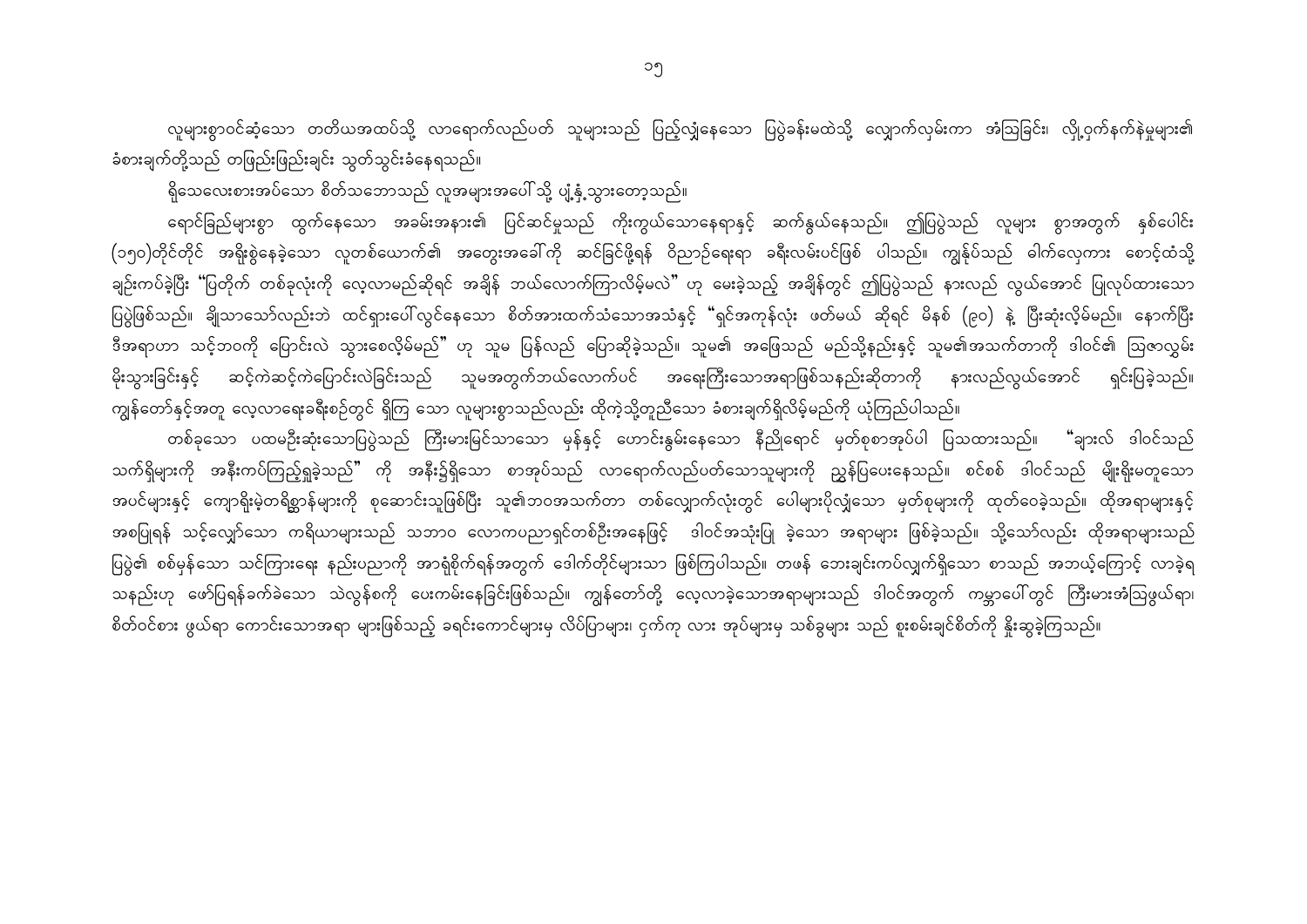လူများစွာဝင်ဆံ့သော တတိယအထပ်သို့ လာရောက်လည်ပတ် သူများသည် ပြည့်လျှံနေသော ပြပွဲခန်းမထဲသို့ လျှောက်လှမ်းကာ အံဩခြင်း၊ လှို့ဝှက်နက်နဲမှုများ၏ ခံစားချက်တို့သည် တဖြည်းဖြည်းချင်း သွတ်သွင်းခံနေရသည်။

ရှိသေလေးစားအပ်သော စိတ်သဘောသည် လူအများအပေါ် သို့ ပျံ့နှံ့သွားတော့သည်။

ရောင်ခြည်များစွာ ထွက်နေသော အခမ်းအနား၏ ပြင်ဆင်မှုသည် ကိုးကွယ်သောနေရာနှင့် ဆက်နွယ်နေသည်။ ဤပြပွဲသည် လူများ စွာအတွက် နှစ်ပေါင်း (၁၅၀)တိုင်တိုင် အရိုးစွဲနေခဲ့သော လူတစ်ယောက်၏ အတွေးအခေါ်ကို ဆင်ခြင်ဖို့ရန် ဝိညာဉ်ရေးရာ ခရီးလမ်းပင်ဖြစ် ပါသည်။ ကျွန်ုပ်သည် ဓါက်လှေကား စောင့်ထံသို့ ချဉ်းကပ်ခဲ့ပြီး "ပြတိုက် တစ်ခုလုံးကို လေ့လာမည်ဆိုရင် အချိန် ဘယ်လောက်ကြာလိမ့်မလဲ" ဟု မေးခဲ့သည့် အချိန်တွင် ဤပြပွဲသည် နားလည် လွယ်အောင် ပြုလုပ်ထားသော ပြပွဲဖြစ်သည်။ ချိုသာသော်လည်းဘဲ ထင်ရှားပေါ်လွင်နေသော စိတ်အားထက်သံသောအသံနှင့် "ရှင်အကုန်လုံး ဖတ်မယ် ဆိုရင် မိနစ် (၉၀) နဲ့ ပြီးဆုံးလိ့မ်မည်။ နောက်ပြီး ဒီအရာဟာ သင့်ဘဝကို ပြောင်းလဲ သွားစေလိ့မ်မည်" ဟု သူမ ပြန်လည် ပြောဆိုခဲ့သည်။ သူမ၏ အဖြေသည် မည်သို့နည်းနှင့် သူမ၏အသက်တာကို ဒါဝင်၏ ဩဇာလွှမ်း မိုးသွားခြင်းနှင့် ဆင့်ကဲဆင့်ကဲပြောင်းလဲခြင်းသည် သူမအတွက်ဘယ်လောက်ပင် အရေးကြီးသောအရာဖြစ်သနည်းဆိုတာကို နားလည်လွယ်အောင် ရှင်းပြခဲ့သည်။ ကျွန်တော်နှင့်အတူ လေ့လာရေးခရီးစဉ်တွင် ရှိကြ သော လူများစွာသည်လည်း ထိုကဲ့သို့တူညီသော ခံစားချက်ရှိလိမ့်မည်ကို ယုံကြည်ပါသည်။

တစ်ခုသော ပထမဦးဆုံးသောပြပွဲသည် ကြီးမားမြင်သာသော မှန်နှင့် ဟောင်းနွမ်းနေသော နီညိုရောင် မှတ်စုစာအုပ်ပါ ပြသထားသည်။ "ချားလ် ဒါဝင်သည် သက်ရှိများကို အနီးကပ်ကြည့်ရှုခဲ့သည်" ကို အနီး၌ရှိသော စာအုပ်သည် လာရောက်လည်ပတ်သောသူများကို ညွှန်ပြပေးနေသည်။ စင်စစ် ဒါဝင်သည် မျိုးရိုးမတူသော အပင်များနှင့် ကျောရိုးမဲ့တရိစ္ဆာန်များကို စုဆောင်းသူဖြစ်ပြီး သူ၏ဘဝအသက်တာ တစ်လျှောက်လုံးတွင် ပေါများပိုလျှံသော မှတ်စုများကို ထုတ်ဝေခဲ့သည်။ ထိုအရာများနှင့် အစပြုရန် သင့်လျှော်သော ကရိယာများသည် သဘာဝ လောကပညာရှင်တစ်ဦးအနေဖြင့် ဒါဝင်အသုံးပြု ခဲ့သော အရာများ ဖြစ်ခဲ့သည်။ သို့သော်လည်း ထိုအရာများသည် ပြပွဲ၏ စစ်မှန်သော သင်ကြားရေး နည်းပညာကို အာရုံစိုက်ရန်အတွက် ဒေါက်တိုင်များသာ ဖြစ်ကြပါသည်။ တဖန် ဘေးချင်းကပ်လျှက်ရှိသော စာသည် အဘယ့်ကြောင့် လာခဲ့ရ သနည်းဟု ဖော်ပြရန်ခက်ခဲသော သဲလွန်စကို ပေးကမ်းနေခြင်းဖြစ်သည်။ ကျွန်တော်တို့ လေ့လာခဲ့သောအရာများသည် ဒါဝင်အတွက် ကမ္ဘာပေါ်တွင် ကြီးမားအံဩဖွယ်ရာ၊ စိတ်ဝင်စား ဖွယ်ရာ ကောင်းသောအရာ များဖြစ်သည့် ခရင်းကောင်များမှ လိပ်ပြာများ၊ ငှက်ကု လား အုပ်များမှ သစ်ခွများ သည် စူးစမ်းချင်စိတ်ကို နိူးဆွခဲ့ကြသည်။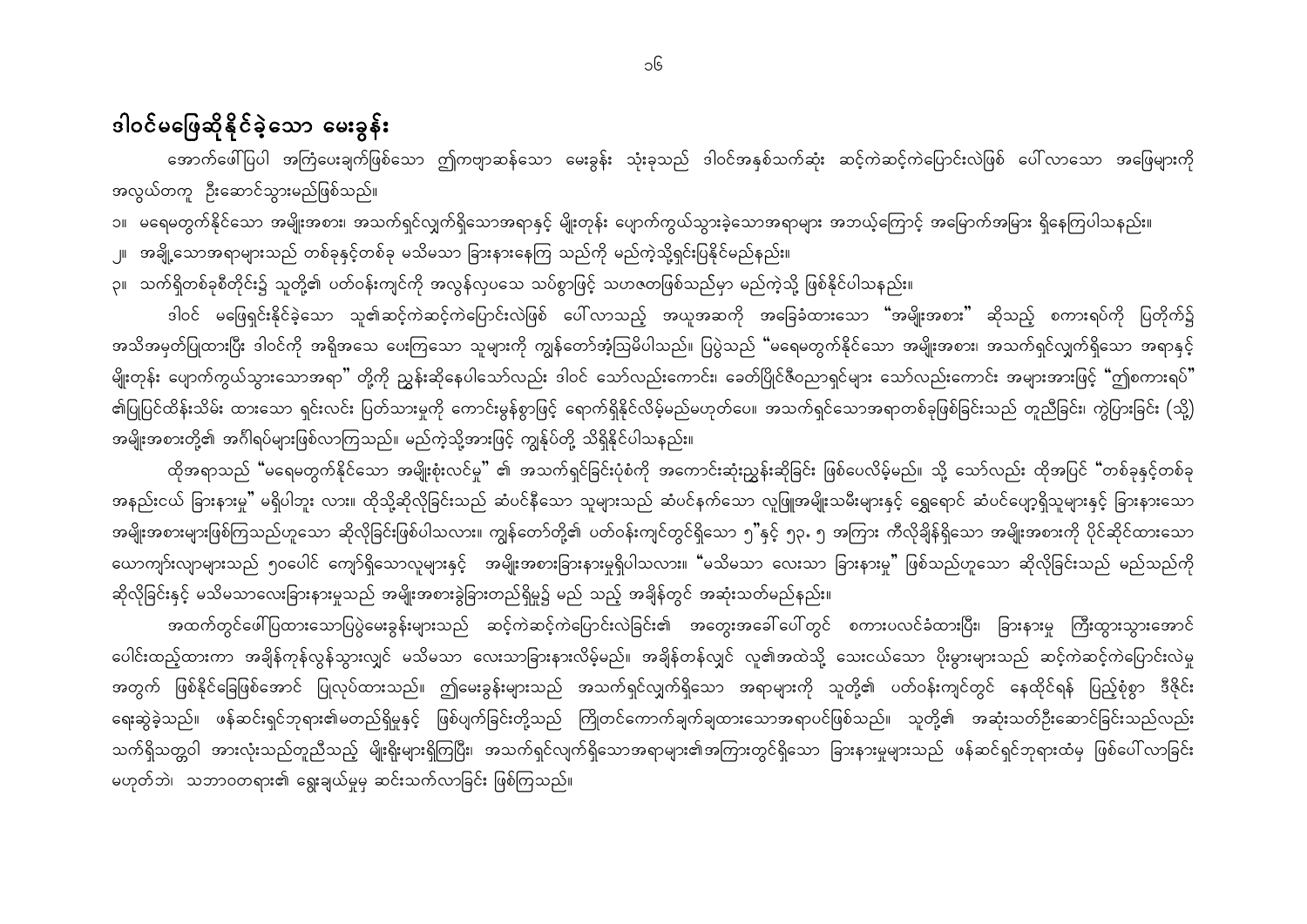#### ဒါဝင်မဖြေဆိုနိုင်ခဲ့သော မေးခွန်း

အောက်ဖေါ်ပြပါ အကြံပေးချက်ဖြစ်သော ဤကဗျာဆန်သော မေးခွန်း သုံးခုသည် ဒါဝင်အနှစ်သက်ဆုံး ဆင့်ကဲဆင့်ကဲပြောင်းလဲဖြစ် ပေါ်လာသော အဖြေများကို အလွယ်တကူ ဦးဆောင်သွားမည်ဖြစ်သည်။

၁။ မရေမတွက်နိုင်သော အမျိုးအစား၊ အသက်ရှင်လျှက်ရှိသောအရာနှင့် မျိုးတုန်း ပျောက်ကွယ်သွားခဲ့သောအရာများ အဘယ့်ကြောင့် အမြောက်အမြား ရှိနေကြပါသနည်း။ ၂။ အချို့သောအရာများသည် တစ်ခုနှင့်တစ်ခု မသိမသာ ခြားနားနေကြ သည်ကို မည်ကဲ့သို့ရှင်းပြနိုင်မည်နည်း။ ၃။ သက်ရှိတစ်ခုစီတိုင်း၌ သူတို့၏ ပတ်ဝန်းကျင်ကို အလွန်လှပသေ သပ်စွာဖြင့် သဟဇတဖြစ်သည်မှာ မည်ကဲ့သို့ ဖြစ်နိုင်ပါသနည်း။

ဒါဝင် မဖြေရှင်းနိုင်ခဲ့သော သူ၏ဆင့်ကဲဆင့်ကဲပြောင်းလဲဖြစ် ပေါ်လာသည့် အယူအဆကို အခြေခံထားသော <mark>"</mark>အမျိုးအစား" ဆိုသည့် စကားရပ်ကို ပြတိုက်၌ အသိအမှတ်ပြုထားပြီး ဒါဝင်ကို အရိုအသေ ပေးကြသော သူများကို ကျွန်တော်အံ့ဩမိပါသည်။ ပြပွဲသည် "မရေမတွက်နိုင်သော အမျိုးအစား၊ အသက်ရှင်လျှက်ရှိသော အရာနှင့် မျိုးတုန်း ပျောက်ကွယ်သွားသောအရာ" တို့ကို ညွှန်းဆိုနေပါသော်လည်း ဒါဝင် သော်လည်းကောင်း၊ ခေတ်ပြိုင်ဇီဝညာရှင်များ သော်လည်းကောင်း အများအားဖြင့် "ဤစကားရပ်" ၏ပြုပြင်ထိန်းသိမ်း ထားသော ရှင်းလင်း ပြတ်သားမှုကို ကောင်းမွန်စွာဖြင့် ရောက်ရှိနိုင်လိမ့်မည်မဟုတ်ပေ။ အသက်ရှင်သောအရာတစ်ခုဖြစ်ခြင်းသည် တူညီခြင်း၊ ကွဲပြားခြင်း (သို့) အမျိုးအစားတို့၏ အင်္ဂါရပ်များဖြစ်လာကြသည်။ မည်ကဲ့သို့အားဖြင့် ကျွန်ုပ်တို့ သိရှိနိုင်ပါသနည်း။

ထိုအရာသည် "မရေမတွက်နိုင်သော အမျိုးစုံးလင်မှု" ၏ အသက်ရှင်ခြင်းပုံစံကို အကောင်းဆုံးညွှန်းဆိုခြင်း ဖြစ်ပေလိမ့်မည်။ သို့ သော်လည်း ထိုအပြင် "တစ်ခုနှင့်တစ်ခု အနည်းငယ် ခြားနားမှု" မရှိပါဘူး လား။ ထိုသို့ဆိုလိုခြင်းသည် ဆံပင်နီသော သူများသည် ဆံပင်နက်သော လူဖြူအမျိုးသမီးများနှင့် နွေရောင် ဆံပင်ပျော့ရှိသူများနှင့် ခြားနားသော အမျိုးအစားများဖြစ်ကြသည်ဟူသော ဆိုလိုခြင်းဖြစ်ပါသလား။ ကျွန်တော်တို့၏ ပတ်ဝန်းကျင်တွင်ရှိသော ၅"နှင့် ၅၃ႉ ၅ အကြား ကီလိုချိန်ရှိသော အမျိုးအစားကို ပိုင်ဆိုင်ထားသော ယောကျာ်းလျာများသည် ၅ဝပေါင် ကျော်ရှိသောလူများနှင့် အမျိုးအစားခြားနားမှုရှိပါသလား။ "မသိမသာ လေးသာ ခြားနားမှု" ဖြစ်သည်ဟူသော ဆိုလိုခြင်းသည် မည်သည်ကို ဆိုလိုခြင်းနှင့် မသိမသာလေးခြားနားမှုသည် အမျိုးအစားခွဲခြားတည်ရှိမှု၌ မည် သည့် အချိန်တွင် အဆုံးသတ်မည်နည်း။

အထက်တွင်ဖေါ်ပြထားသောပြပွဲမေးခွန်းများသည် ဆင့်ကဲဆင့်ကဲပြောင်းလဲခြင်း၏ အတွေးအခေါ် ပေါ်တွင် စကားပလင်ခံထားပြီး၊ ခြားနားမှု ကြီးထွားသွားအောင် ပေါင်းထည့်ထားကာ အချိန်ကုန်လွန်သွားလျှင် မသိမသာ လေးသာခြားနားလိမ့်မည်။ အချိန်တန်လျှင် လူ၏အထဲသို့ သေးငယ်သော ပိုးမွားများသည် ဆင့်ကဲဆင့်ကဲပြောင်းလဲမှု အတွက် ဖြစ်နိုင်ခြေဖြစ်အောင် ပြုလုပ်ထားသည်။ ဤမေးခွန်းများသည် အသက်ရှင်လျှက်ရှိသော အရာများကို သူတို့၏ ပတ်ဝန်းကျင်တွင် နေထိုင်ရန် ပြည့်စုံစွာ ဒီဇိုင်း ရေးဆွဲခဲ့သည်။ ဖန်ဆင်းရှင်ဘုရား၏မတည်ရှိမှုနှင့် ဖြစ်ပျက်ခြင်းတို့သည် ကြိုတင်ကောက်ချက်ချထားသောအရာပင်ဖြစ်သည်။ သူတို့၏ အဆုံးသတ်ဦးဆောင်ခြင်းသည်လည်း သက်ရှိသတ္တဝါ အားလုံးသည်တူညီသည့် မျိုးရိုးများရှိကြပြီး၊ အသက်ရှင်လျက်ရှိသောအရာများ၏အကြားတွင်ရှိသော ခြားနားမှုများသည် ဖန်ဆင်ရှင်ဘုရားထံမှ ဖြစ်ပေါ်လာခြင်း မဟုတ်ဘဲ၊ သဘာဝတရား၏ ရွေးချယ်မှုမှ ဆင်းသက်လာခြင်း ဖြစ်ကြသည်။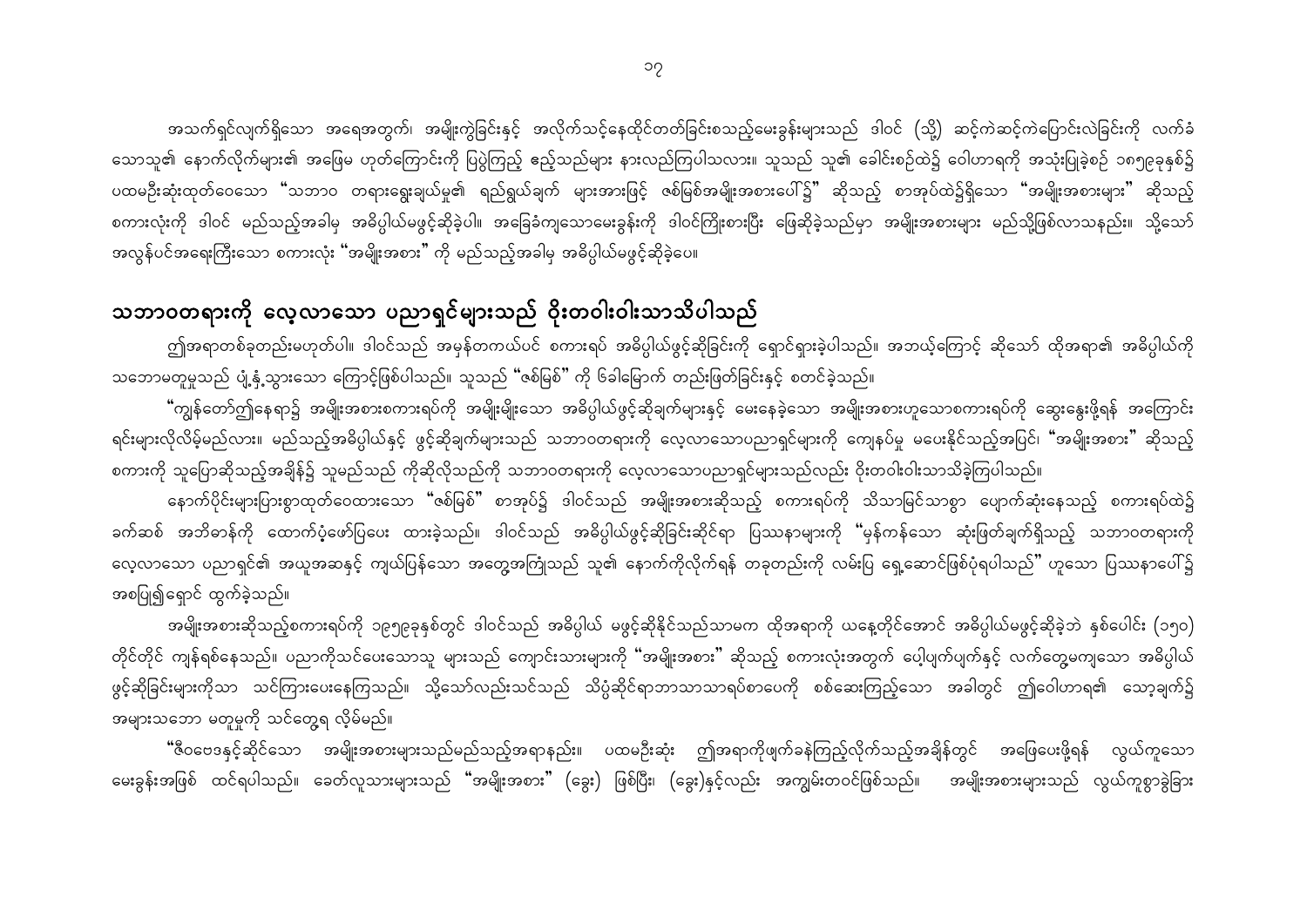အသက်ရှင်လျက်ရှိသော အရေအတွက်၊ အမျိုးကွဲခြင်းနှင့် အလိုက်သင့်နေထိုင်တတ်ခြင်းစသည့်မေးခွန်းများသည် ဒါဝင် (သို့) ဆင့်ကဲဆင့်ကဲပြောင်းလဲခြင်းကို လက်ခံ သောသူ၏ နောက်လိုက်များ၏ အဖြေမ ဟုတ်ကြောင်းကို ပြပွဲကြည့် ဧည့်သည်များ နားလည်ကြပါသလား။ သူသည် သူ၏ ခေါင်းစဉ်ထဲ၌ ဝေါဟာရကို အသုံးပြုခဲ့စဉ် ၁၈၅၉ခုနှစ်၌ ပထမဦးဆုံးထုတ်ဝေသော "သဘာဝ တရားရွေးချယ်မှု၏ ရည်ရွယ်ချက် များအားဖြင့် ဇစ်မြစ်အမျိုးအစားပေါ်၌" ဆိုသည့် စာအုပ်ထဲ၌ရှိသော "အမျိုးအစားများ" ဆိုသည့် စကားလုံးကို ဒါဝင် မည်သည့်အခါမှ အဓိပ္ပါယ်မဖွင့်ဆိုခဲ့ပါ။ အခြေခံကျသောမေးခွန်းကို ဒါဝင်ကြိုးစားပြီး ဖြေဆိုခဲ့သည်မှာ အမျိုးအစားများ မည်သို့ဖြစ်လာသနည်း။ သို့သော်

အလွန်ပင်အရေးကြီးသော စကားလုံး "အမျိုးအစား" ကို မည်သည့်အခါမှ အဓိပ္ပါယ်မဖွင့်ဆိုခဲ့ပေ။

#### သဘာဝတရားကို လေ့လာသော ပညာရှင်များသည် ဝိုးတဝါးဝါးသာသိပါသည်

ဤအရာတစ်ခုတည်းမဟုတ်ပါ။ ဒါဝင်သည် အမှန်တကယ်ပင် စကားရပ် အဓိပ္ပါယ်ဖွင့်ဆိုခြင်းကို ရှောင်ရှားခဲ့ပါသည်။ အဘယ့်ကြောင့် ဆိုသော် ထိုအရာ၏ အဓိပ္ပါယ်ကို သဘောမတူမှုသည် ပျံ့နှံ့သွားသော ကြောင့်ဖြစ်ပါသည်။ သူသည် "ဇစ်မြစ်" ကို ၆ခါမြောက် တည်းဖြတ်ခြင်းနှင့် စတင်ခဲ့သည်။

"ကျွန်တော်ဤနေရာ၌ အမျိုးအစားစကားရပ်ကို အမျိုးမျိုးသော အဓိပ္ပါယ်ဖွင့်ဆိုချက်များနှင့် မေးနေခဲ့သော အမျိုးအစားဟူသောစကားရပ်ကို ဆွေးနွေးဖို့ရန် အကြောင်း ရင်းများလိုလိမ့်မည်လား။ မည်သည့်အဓိပ္ပါယ်နှင့် ဖွင့်ဆိုချက်များသည် သဘာဝတရားကို လေ့လာသောပညာရှင်များကို ကျေနပ်မှု မပေးနိုင်သည့်အပြင်၊ "အမျိုးအစား" ဆိုသည့် စကားကို သူပြောဆိုသည့်အချိန်၌ သူမည်သည် ကိုဆိုလိုသည်ကို သဘာဝတရားကို လေ့လာသောပညာရှင်များသည်လည်း ဝိုးတဝါးဝါးသာသိခဲ့ကြပါသည်။

နောက်ပိုင်းများပြားစွာထုတ်ဝေထားသော "ဇစ်မြစ်" စာအုပ်၌ ဒါဝင်သည် အမျိုးအစားဆိုသည့် စကားရပ်ကို သိသာမြင်သာစွာ ပျောက်ဆုံးနေသည့် စကားရပ်ထဲ၌ ခက်ဆစ် အဘိဓာန်ကို ထောက်ပံ့ဖော်ပြပေး ထားခဲ့သည်။ ဒါဝင်သည် အဓိပ္ပါယ်ဖွင့်ဆိုခြင်းဆိုင်ရာ ပြဿနာများကို "မှန်ကန်သော ဆုံးဖြတ်ချက်ရှိသည့် သဘာဝတရားကို လေ့လာသော ပညာရှင်၏ အယူအဆနှင့် ကျယ်ပြန်သော အတွေ့အကြုံသည် သူ၏ နောက်ကိုလိုက်ရန် တခုတည်းကို လမ်းပြ ရှေ့ဆောင်ဖြစ်ပုံရပါသည်" ဟူသော ပြဿနာပေါ်၌ အစပြု၍ရှောင် ထွက်ခဲ့သည်။

အမျိုးအစားဆိုသည့်စကားရပ်ကို ၁၉၅၉ခုနှစ်တွင် ဒါဝင်သည် အဓိပ္ပါယ် မဖွင့်ဆိုနိုင်သည်သာမက ထိုအရာကို ယနေ့တိုင်အောင် အဓိပ္ပါယ်မဖွင့်ဆိုခဲ့ဘဲ နှစ်ပေါင်း (၁၅၀) တိုင်တိုင် ကျန်ရစ်နေသည်။ ပညာကိုသင်ပေးသောသူ များသည် ကျောင်းသားများကို "အမျိုးအစား" ဆိုသည့် စကားလုံးအတွက် ပေ့ါပျက်ပျက်နှင့် လက်တွေ့မကျသော အဓိပ္ပါယ် ဖွင့်ဆိုခြင်းများကိုသာ သင်ကြားပေးနေကြသည်။ သို့သော်လည်းသင်သည် သိပ္ပံဆိုင်ရာဘာသာသာရပ်စာပေကို စစ်ဆေးကြည့်သော အခါတွင် ဤဝေါဟာရ၏ သော့ချက်၌ အများသဘော မတူမှုကို သင်တွေ့ရ လိုမ်မည်။

"ဇီဝဗေဒနှင့်ဆိုင်သော အမျိုးအစားများသည်မည်သည့်အရာနည်း။ ပထမဦးဆုံး ဤအရာကိုဖျက်ခနဲကြည့်လိုက်သည့်အချိန်တွင် အဖြေပေးဖို့ရန် လွယ်ကူသော မေးခွန်းအဖြစ် ထင်ရပါသည်။ ခေတ်လူသားများသည် "အမျိုးအစား" (ခွေး) ဖြစ်ပြီး၊ (ခွေး)နှင့်လည်း အကျွမ်းတဝင်ဖြစ်သည်။ အမျိုးအစားများသည် လွယ်ကူစွာခွဲခြား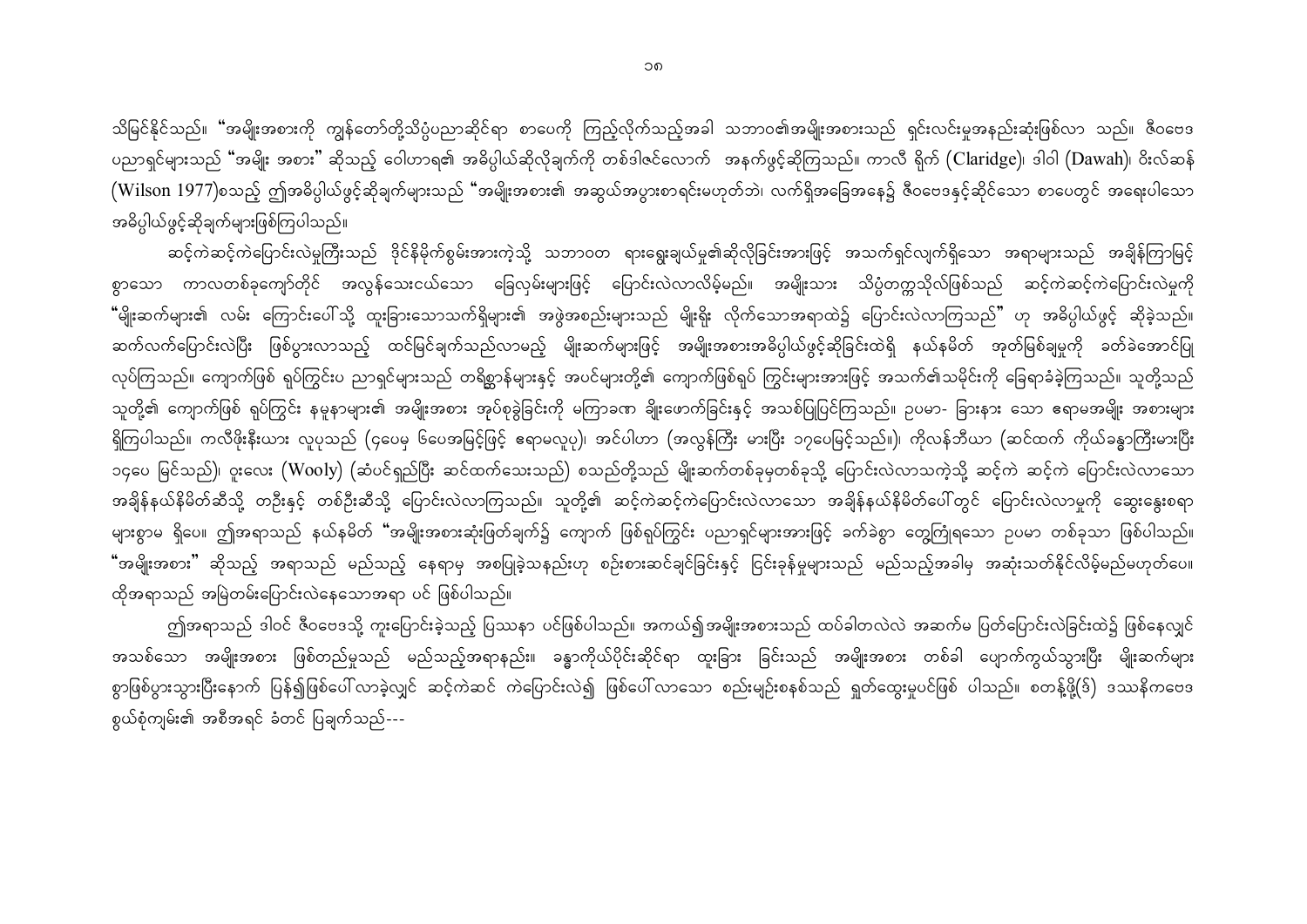သိမြင်နိုင်သည်။ "အမျိုးအစားကို ကျွန်တော်တို့သိပ္ပံပညာဆိုင်ရာ စာပေကို ကြည့်လိုက်သည့်အခါ သဘာဝ၏အမျိုးအစားသည် ရှင်းလင်းမှုအနည်းဆုံးဖြစ်လာ သည်။ ဇီဝဗေဒ ပညာရှင်များသည် "အမျိုး အစား" ဆိုသည့် ဝေါဟာရ၏ အဓိပ္ပါယ်ဆိုလိုချက်ကို တစ်ဒါဇင်လောက် အနက်ဖွင့်ဆိုကြသည်။ ကာလီ ရိုက် (Claridge)၊ ဒါဝါ (Dawah)၊ ဝိးလ်ဆန် (Wilson 1977)စသည့် ဤအဓိပ္ပါယ်ဖွင့်ဆိုချက်များသည် "အမျိုးအစား၏ အဆွယ်အပွားစာရင်းမဟုတ်ဘဲ၊ လက်ရှိအခြေအနေ၌ ဇီဝဗေဒနှင့်ဆိုင်သော စာပေတွင် အရေးပါသော အဓိပ္ပါယ်ဖွင့်ဆိုချက်များဖြစ်ကြပါသည်။

ဆင့်ကဲဆင့်ကဲပြောင်းလဲမှုကြီးသည် <sup>ဒို</sup>င်နိမိုက်စွမ်းအားကဲ့သို့ သဘာဝတ ရားရွေးချယ်မှု၏ဆိုလိုခြင်းအားဖြင့် အသက်ရှင်လျက်ရှိသော အရာများသည် အချိန်ကြာမြင့် စွာသော ကာလတစ်ခုကျော်တိုင် အလွန်သေးငယ်သော ခြေလှမ်းများဖြင့် ပြောင်းလဲလာလိမ့်မည်။ အမျိုးသား သိပ္ပံတက္ကသိုလ်ဖြစ်သည် ဆင့်ကဲဆင့်ကဲပြောင်းလဲမှုကို "မျိုးဆက်များ၏ လမ်း ကြောင်းပေါ်သို့ ထူးခြားသောသက်ရှိများ၏ အဖွဲအစည်းများသည် မျိုးရိုး လိုက်သောအရာထဲ၌ ပြောင်းလဲလာကြသည်" ဟု အဓိပ္ပါယ်ဖွင့် ဆိုခဲ့သည်။ ဆက်လက်ပြောင်းလဲပြီး ဖြစ်ပွားလာသည့် ထင်မြင်ချက်သည်လာမည့် မျိုးဆက်များဖြင့် အမျိုးအစားအဓိပ္ပါယ်ဖွင့်ဆိုခြင်းထဲရှိ နယ်နမိတ် အုတ်မြစ်ချမှုကို ခတ်ခဲအောင်ပြု လုပ်ကြသည်။ ကျောက်ဖြစ် ရုပ်ကြွင်းပ ညာရှင်များသည် တရိစ္ဆာန်များနှင့် အပင်များတို့၏ ကျောက်ဖြစ်ရုပ် ကြွင်းများအားဖြင့် အသက်၏သမိုင်းကို ခြေရာခံခဲ့ကြသည်။ သူတို့သည် သူတို့၏ ကျောက်ဖြစ် ရုပ်ကြွင်း နမူနာများ၏ အမျိုးအစား အုပ်စုခွဲခြင်းကို မကြာခဏ ချိုးဖောက်ခြင်းနှင့် အသစ်ပြုပြင်ကြသည်။ ဥပမာ- ခြားနား သော ဧရာမအမျိုး အစားများ ရှိကြပါသည်။ ကလီဖိုးနီးယား လူပုသည် (၄ပေမှ ၆ပေအမြင့်ဖြင့် ဧရာမလူပု)၊ အင်ပါဟာ (အလွန်ကြီး မားပြီး ၁၇ပေမြင့်သည်။)၊ ကိုလန်ဘီယာ (ဆင်ထက် ကိုယ်ခန္ဓာကြီးမားပြီး ၁၄ပေ မြင်သည်)၊ ဝူးလေး (Wooly) (ဆံပင်ရှည်ပြီး ဆင်ထက်သေးသည်) စသည်တို့သည် မျိုးဆက်တစ်ခုမှတစ်ခုသို့ ပြောင်းလဲလာသကဲ့သို့ ဆင့်ကဲ ဆင့်ကဲ ပြောင်းလဲလာသော အချိန်နယ်နိမိတ်ဆီသို့ တဦးနှင့် တစ်ဦးဆီသို့ ပြောင်းလဲလာကြသည်။ သူတို့၏ ဆင့်ကဲဆင့်ကဲပြောင်းလဲလာသော အချိန်နယ်နိမိတ်ပေါ်တွင် ပြောင်းလဲလာမှုကို ဆွေးနွေးစရာ များစွာမ ရှိပေ။ ဤအရာသည် နယ်နမိတ် "အမျိုးအစားဆုံးဖြတ်ချက်၌ ကျောက် ဖြစ်ရုပ်ကြွင်း ပညာရှင်များအားဖြင့် ခက်ခဲစွာ တွေကြုံရသော ဉပမာ တစ်ခုသာ ဖြစ်ပါသည်။ **"**အမျိုးအစား" ဆိုသည့် အရာသည် မည်သည့် နေရာမှ အစပြုခဲ့သနည်းဟု စဉ်းစားဆင်ချင်ခြင်းနှင့် ငြင်းခုန်မှုများသည် မည်သည့်အခါမှ အဆုံးသတ်နိုင်လိမ့်မည်မဟုတ်ပေ။ ထိုအရာသည် အမြဲတမ်းပြောင်းလဲနေသောအရာ ပင် ဖြစ်ပါသည်။

ဤအရာသည် ဒါဝင် ဇီဝဗေဒသို့ ကူးပြောင်းခဲ့သည့် ပြဿနာ ပင်ဖြစ်ပါသည်။ အကယ်၍အမျိုးအစားသည် ထပ်ခါတလဲလဲ အဆက်မ ပြတ်ပြောင်းလဲခြင်းထဲ၌ ဖြစ်နေလျှင် အသစ်သော အမျိုးအစား ဖြစ်တည်မှုသည် မည်သည့်အရာနည်း။ ခန္ဓာကိုယ်ပိုင်းဆိုင်ရာ ထူးခြား ခြင်းသည် အမျိုးအစား တစ်ခါ ပျောက်ကွယ်သွားပြီး မျိုးဆက်များ စွာဖြစ်ပွားသွားပြီးနောက် ပြန်၍ဖြစ်ပေါ် လာခဲ့လျှင် ဆင့်ကဲဆင် ကဲပြောင်းလဲ၍ ဖြစ်ပေါ် လာသော စည်းမျဉ်းစနစ်သည် ရှုတ်ထွေးမှုပင်ဖြစ် ပါသည်။ စတန့်ဖို့(ဒ်) ဒဿနိကဗေဒ စွယ်စုံကျမ်း၏ အစီအရင် ခံတင် ပြချက်သည်---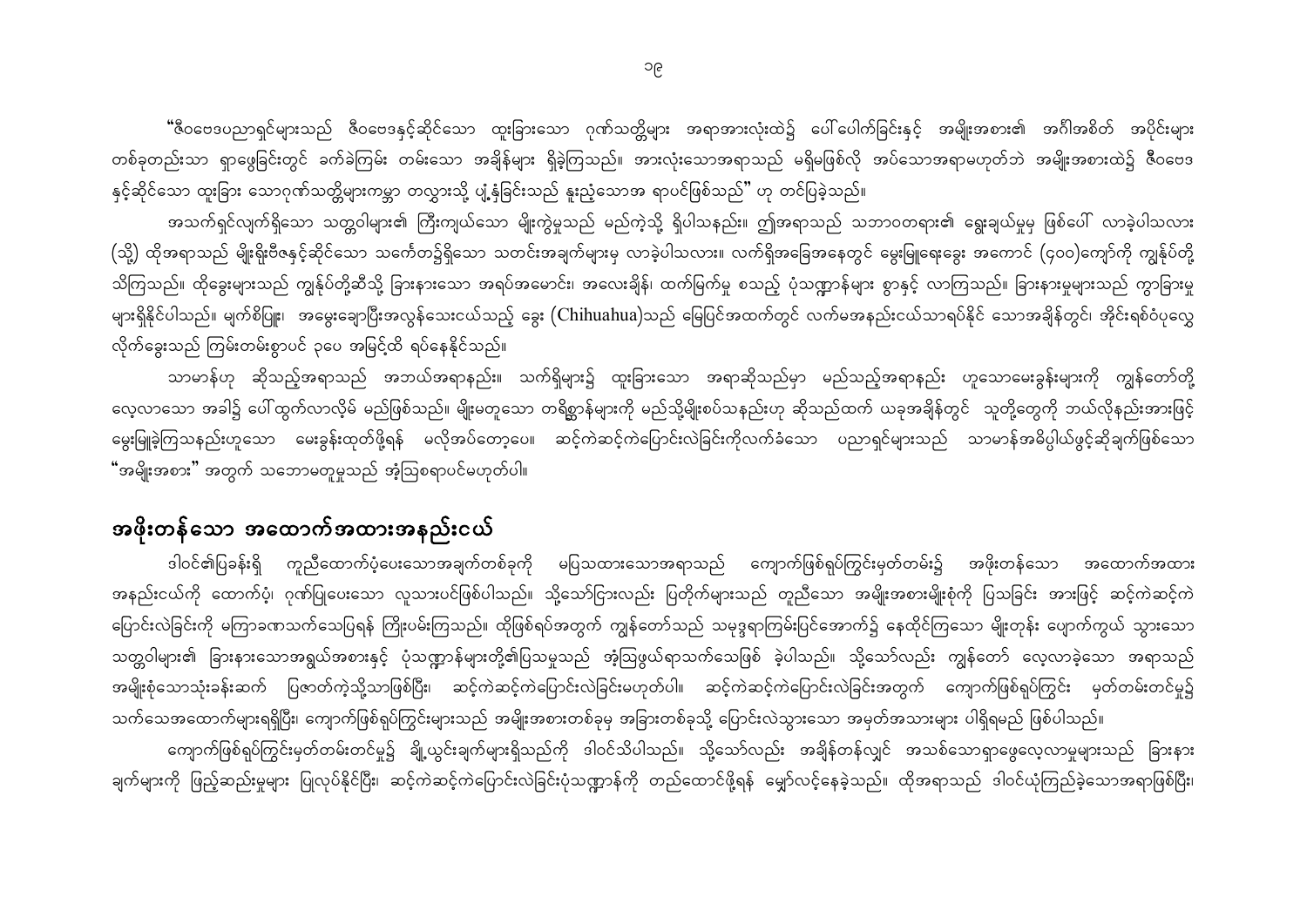"ီဇီဝဗေဒပညာရှင်များသည် ဇီဝဗေဒနှင့်ဆိုင်သော ထူးခြားသော ဂုဏ်သတ္တိများ အရာအားလုံးထဲ၌ ပေါ်ပေါက်ခြင်းနှင့် အမျိုးအစား၏ အင်္ဂါအစိတ် အပိုင်းများ တစ်ခုတည်းသာ ရှာဖွေခြင်းတွင် ခက်ခဲကြမ်း တမ်းသော အချိန်များ ရှိခဲ့ကြသည်။ အားလုံးသောအရာသည် မရှိမဖြစ်လို အပ်သောအရာမဟုတ်ဘဲ အမျိုးအစားထဲ၌ ဇီဝဗေဒ နှင့်ဆိုင်သော ထူးခြား သောဂုဏ်သတ္တိများကမ္ဘာ တလွှားသို့ ပျံ့နှံခြင်းသည် နူးညံ့သောအ ရာပင်ဖြစ်သည်" ဟု တင်ပြခဲ့သည်။

အသက်ရှင်လျက်ရှိသော သတ္တဝါများ၏ ကြီးကျယ်သော မျိုးကွဲမှုသည် မည်ကဲ့သို့ ရှိပါသနည်း။ ဤအရာသည် သဘာဝတရား၏ ရွေးချယ်မှုမှ ဖြစ်ပေါ် လာခဲ့ပါသလား (သို့) ထိုအရာသည် မျိုးရိုးဗီဇနှင့်ဆိုင်သော သင်္ကေတ၌ရှိသော သတင်းအချက်များမှ လာခဲ့ပါသလား။ လက်ရှိအခြေအနေတွင် မွေးမြူရေးခွေး အကောင် (၄၀၀)ကျော်ကို ကျွန်ုပ်တို့ သိကြသည်။ ထိုခွေးများသည် ကျွန်ုပ်တို့ဆီသို့ ခြားနားသော အရပ်အမောင်း၊ အလေးချိန်၊ ထက်မြက်မှု စသည့် ပုံသဏ္ဍာန်များ စွာနှင့် လာကြသည်။ ခြားနားမှုများသည် ကွာခြားမှု များရှိနိုင်ပါသည်။ မျက်စိပြူး၊ အမွေးချောပြီးအလွန်သေးငယ်သည့် ခွေး (Chihuahua)သည် မြေပြင်အထက်တွင် လက်မအနည်းငယ်သာရပ်နိုင် သောအချိန်တွင်၊ အိုင်းရစ်ဝံပုလွှေ လိုက်ခွေးသည် ကြမ်းတမ်းစွာပင် ၃ပေ အမြင့်ထိ ရပ်နေနိုင်သည်။

သာမာန်ဟု ဆိုသည့်အရာသည် အဘယ်အရာနည်း။ သက်ရှိများ၌ ထူးခြားသော အရာဆိုသည်မှာ မည်သည့်အရာနည်း ဟူသောမေးခွန်းများကို ကျွန်တော်တို့ လေ့လာသော အခါ၌ ပေါ်ထွက်လာလို့မ် မည်ဖြစ်သည်။ မျိုးမတူသော တရိစ္ဆာန်များကို မည်သို့မျိုးစပ်သနည်းဟု ဆိုသည်ထက် ယခုအချိန်တွင် သူတို့တွေကို ဘယ်လိုနည်းအားဖြင့် မွေးမြူခဲ့ကြသနည်းဟူသော မေးခွန်းထုတ်ဖို့ရန် မလိုအပ်တော့ပေ။ ဆင့်ကဲဆင့်ကဲပြောင်းလဲခြင်းကိုလက်ခံသော ပညာရှင်များသည် သာမာန်အဓိပ္ပါယ်ဖွင့်ဆိုချက်ဖြစ်သော "အမျိုးအစား" အတွက် သဘောမတူမှုသည် အံ့ဩစရာပင်မဟုတ်ပါ။

### အဖိုးတန်သော အထောက်အထားအနည်းငယ်

ဒါဝင်၏ပြခန်းရှိ ကူညီထောက်ပံ့ပေးသောအချက်တစ်ခုကို မပြသထားသောအရာသည် ကျောက်ဖြစ်ရုပ်ကြွင်းမှတ်တမ်း၌ အဖိုးတန်သော အထောက်အထား အနည်းငယ်ကို ထောက်ပံ့၊ ဂုဏ်ပြုပေးသော လူသားပင်ဖြစ်ပါသည်။ သို့သော်ငြားလည်း ပြတိုက်များသည် တူညီသော အမျိုးအစားမျိုးစုံကို ပြသခြင်း အားဖြင့် ဆင့်ကဲဆင့်ကဲ ပြောင်းလဲခြင်းကို မကြာခဏသက်သေပြရန် ကြိုးပမ်းကြသည်။ ထိုဖြစ်ရပ်အတွက် ကျွန်တော်သည် သမုဒ္ဒရာကြမ်းပြင်အောက်၌ နေထိုင်ကြသော မျိုးတုန်း ပျောက်ကွယ် သွားသော သတ္တဝါများ၏ ခြားနားသောအရွယ်အစားနှင့် ပုံသဏ္ဍာန်များတို့၏ပြသမှုသည် အံ့ဩဖွယ်ရာသက်သေဖြစ် ခဲ့ပါသည်။ သို့သော်လည်း ကျွန်တော် လေ့လာခဲ့သော အရာသည် အမျိုးစုံသောသုံးခန်းဆက် ပြဇာတ်ကဲ့သို့သာဖြစ်ပြီး၊ ဆင့်ကဲဆင့်ကဲပြောင်းလဲခြင်းမဟုတ်ပါ။ ဆင့်ကဲဆင့်ကဲပြောင်းထဲခြင်းအတွက် ကျောက်ဖြစ်ရုပ်ကြွင်း မှတ်တမ်းတင်မှု၌ သက်သေအထောက်များရရှိပြီး၊ ကျောက်ဖြစ်ရှပ်ကြွင်းများသည် အမျိုးအစားတစ်ခုမှ အခြားတစ်ခုသို့ ပြောင်းလဲသွားသော အမှတ်အသားများ ပါရှိရမည် ဖြစ်ပါသည်။

ကျောက်ဖြစ်ရုပ်ကြွင်းမှတ်တမ်းတင်မှု၌ ချို့ယွင်းချက်များရှိသည်ကို ဒါဝင်သိပါသည်။ သို့သော်လည်း အချိန်တန်လျှင် အသစ်သောရှာဖွေလေ့လာမှုများသည် ခြားနား ချက်များကို ဖြည့်ဆည်းမှုများ ပြုလုပ်နိုင်ပြီး၊ ဆင့်ကဲဆင့်ကဲပြောင်းလဲခြင်းပုံသဏ္ဍာန်ကို တည်ထောင်ဖို့ရန် မျှော်လင့်နေခဲ့သည်။ ထိုအရာသည် ဒါဝင်ယုံကြည်ခဲ့သောအရာဖြစ်ပြီး၊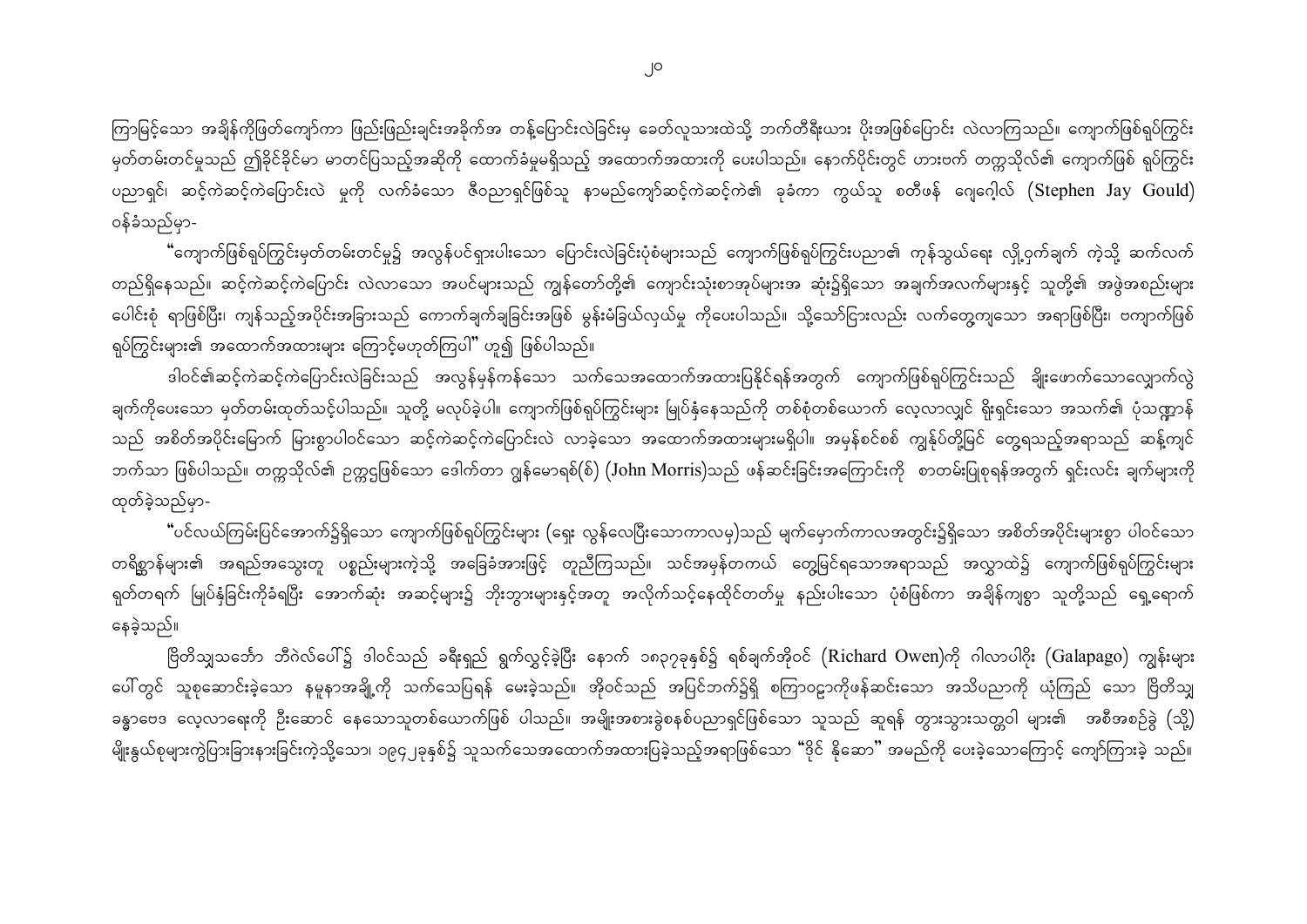ကြာမြင့်သော အချိန်ကိုဖြတ်ကျော်ကာ ဖြည်းဖြည်းချင်းအခိုက်အ တန့်ပြောင်းလဲခြင်းမှ ခေတ်လူသားထဲသို့ ဘက်တီရီးယား ပိုးအဖြစ်ပြောင်း လဲလာကြသည်။ ကျောက်ဖြစ်ရုပ်ကြွင်း မှတ်တမ်းတင်မှုသည် ဤခိုင်ခိုင်မာ မာတင်ပြသည့်အဆိုကို ထောက်ခံမှုမရှိသည့် အထောက်အထားကို ပေးပါသည်။ နောက်ပိုင်းတွင် ဟားဗက် တက္ကသိုလ်၏ ကျောက်ဖြစ် ရုပ်ကြွင်း ပညာရှင်၊ ဆင့်ကဲဆင့်ကဲပြောင်းလဲ မှုကို လက်ခံသော ဇီဝညာရှင်ဖြစ်သူ နာမည်ကျော်ဆင့်ကဲဆင့်ကဲ၏ ခုခံကာ ကွယ်သူ စတီဖန် ဂျေဂေ့ါလ် (Stephen Jay Gould) ဝန်ခံသည်မှာ-

"ကျောက်ဖြစ်ရုပ်ကြွင်းမှတ်တမ်းတင်မှု၌ အလွန်ပင်ရှားပါးသော ပြောင်းလဲခြင်းပုံစံများသည် ကျောက်ဖြစ်ရုပ်ကြွင်းပညာ၏ ကုန်သွယ်ရေး လှို့ဝှက်ချက် ကဲ့သို့ ဆက်လက် တည်ရှိနေသည်။ ဆင့်ကဲဆင့်ကဲပြောင်း လဲလာသော အပင်များသည် ကျွန်တော်တို့၏ ကျောင်းသုံးစာအုပ်များအ ဆုံး၌ရှိသော အချက်အလက်များနှင့် သူတို့၏ အဖွဲအစည်းများ ပေါင်းစုံ ရာဖြစ်ပြီး၊ ကျန်သည့်အပိုင်းအခြားသည် ကောက်ချက်ချခြင်းအဖြစ် မွန်းမံခြယ်လှယ်မှု ကိုပေးပါသည်။ သို့သော်ငြားလည်း လက်တွေ့ကျသော အရာဖြစ်ပြီး၊ ဗကျာက်ဖြစ် ရုပ်ကြွင်းများ၏ အထောက်အထားများ ကြောင့်မဟုတ်ကြပါ" ဟူ၍ ဖြစ်ပါသည်။

ဒါဝင်၏ဆင့်ကဲဆင့်ကဲပြောင်းလဲခြင်းသည် အလွန်မှန်ကန်သော သက်သေအထောက်အထားပြနိုင်ရန်အတွက် ကျောက်ဖြစ်ရုပ်ကြွင်းသည် ချိုးဖောက်သောလျှောက်လွဲ ချက်ကိုပေးသော မှတ်တမ်းထုတ်သင့်ပါသည်။ သူတို့ မလုပ်ခဲ့ပါ။ ကျောက်ဖြစ်ရုပ်ကြွင်းများ မြုပ်နှံနေသည်ကို တစ်စုံတစ်ယောက် လေ့လာလျှင် ရိုးရှင်းသော အသက်၏ ပုံသဏ္ဍာန် သည် အစိတ်အပိုင်းမြောက် မြားစွာပါဝင်သော ဆင့်ကဲဆင့်ကဲပြောင်းလဲ လာခဲ့သော အထောက်အထားများမရှိပါ။ အမှန်စင်စစ် ကျွန်ုပ်တို့မြင် တွေ့ရသည့်အရာသည် ဆန့်ကျင် ဘက်သာ ဖြစ်ပါသည်။ တက္ကသိုလ်၏ ဉက္ကဌဖြစ်သော ဒေါက်တာ ဂျွန်မောရစ်(စ်) (John Morris)သည် ဖန်ဆင်းခြင်းအကြောင်းကို စာတမ်းပြုစုရန်အတွက် ရှင်းလင်း ချက်များကို ထုတ်ခဲ့သည်မှာ-

"ပင်လယ်ကြမ်းပြင်အောက်၌ရှိသော ကျောက်ဖြစ်ရုပ်ကြွင်းများ (ရှေး လွန်လေပြီးသောကာလမှ)သည် မျက်မှောက်ကာလအတွင်း၌ရှိသော အစိတ်အပိုင်းများစွာ ပါဝင်သော တရိစ္ဆာန်များ၏ အရည်အသွေးတူ ပစ္စည်းများကဲ့သို့ အခြေခံအားဖြင့် တူညီကြသည်။ သင်အမှန်တကယ် တွေ့မြင်ရသောအရာသည် အလွှာထဲ၌ ကျောက်ဖြစ်ရုပ်ကြွင်းများ ရုတ်တရက် မြုပ်နှံခြင်းကိုခံရပြီး အောက်ဆုံး အဆင့်များ၌ ဘိုးဘွားများနှင့်အတူ အလိုက်သင့်နေထိုင်တတ်မှု နည်းပါးသော ပုံစံဖြစ်ကာ အချိန်ကျစွာ သူတို့သည် ရှေ့ရောက် နေခဲ့သည်။

ဗြိတိသျှသင်္ဘော ဘီဂဲလ်ပေါ်၌ ဒါဝင်သည် ခရီးရှည် ရွက်လွှင့်ခဲ့ပြီး နောက် ၁၈၃၇ခုနှစ်၌ ရစ်ချက်အိုဝင် (Richard Owen)ကို ဂါလာပါဂိုး (Galapago) ကျွန်းများ ပေါ် တွင် သူစုဆောင်းခဲ့သော နမူနာအချို့ကို သက်သေပြရန် မေးခဲ့သည်။ အိုဝင်သည် အပြင်ဘက်၌ရှိ စကြာဝဠာကိုဖန်ဆင်းသော အသိပညာကို ယုံကြည် သော ဗြိတိသျှ ခန္ဓာဗေဒ လေ့လာရေးကို ဦးဆောင် နေသောသူတစ်ယောက်ဖြစ် ပါသည်။ အမျိုးအစားခွဲစနစ်ပညာရှင်ဖြစ်သော သူသည် ဆူရန် တွားသွားသတ္တဝါ များ၏ အစီအစဉ်ခွဲ (သို့) မျိုးနွယ်စုများကွဲပြားခြားနားခြင်းကဲ့သို့သော၊ ၁၉၄၂ခုနှစ်၌ သူသက်သေအထောက်အထားပြခဲ့သည့်အရာဖြစ်သော "ဒိုင် နိုဆော" အမည်ကို ပေးခဲ့သောကြောင့် ကျော်ကြားခဲ့ သည်။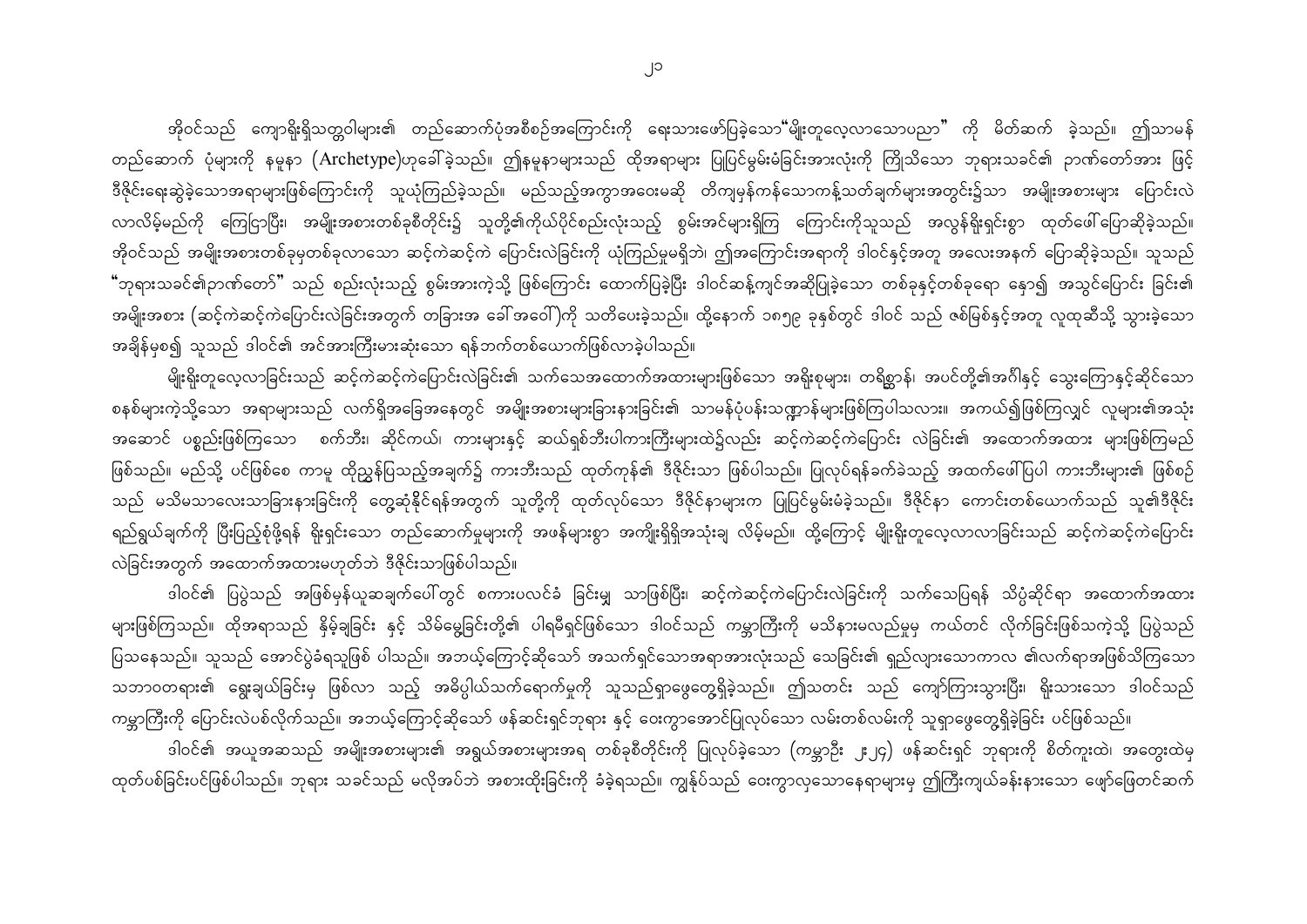အိုဝင်သည် ကျောရိုးရှိသတ္တဝါများ၏ တည်ဆောက်ပုံအစီစဉ်အကြောင်းကို ရေးသားဖော်ပြခဲ့သော<sup>မ</sup>မျိုးတူလေ့လာသောပညာ" ကို မိတ်ဆက် ခဲ့သည်။ ဤသာမန် တည်ဆောက် ပုံများကို နမူနာ (Archetype)ဟုခေါ်ခဲ့သည်။ ဤနမူနာများသည် ထိုအရာများ ပြုပြင်မွမ်းမံခြင်းအားလုံးကို ကြိုသိသော ဘုရားသခင်၏ ဉာဏ်တော်အား ဖြင့် ဒီဇိုင်းရေးဆွဲခဲ့သောအရာများဖြစ်ကြောင်းကို သူယုံကြည်ခဲ့သည်။ မည်သည့်အကွာအဝေးမဆို တိကျမှန်ကန်သောကန့်သတ်ချက်များအတွင်း၌သာ အမျိုးအစားများ ပြောင်းလဲ လာလိမ့်မည်ကို ကြေငြာပြီး၊ အမျိုးအစားတစ်ခုစီတိုင်း၌ သူတို့၏ကိုယ်ပိုင်စည်းလုံးသည့် စွမ်းအင်များရှိကြ ကြောင်းကိုသူသည် အလွန်ရိုးရှင်းစွာ ထုတ်ဖေါ်ပြောဆိုခဲ့သည်။ အိုဝင်သည် အမျိုးအစားတစ်ခုမှတစ်ခုလာသော ဆင့်ကဲဆင့်ကဲ ပြောင်းလဲခြင်းကို ယုံကြည်မှုမရှိဘဲ၊ ဤအကြောင်းအရာကို ဒါဝင်နှင့်အတူ အလေးအနက် ပြောဆိုခဲ့သည်။ သူသည် **"**ဘုရားသခင်၏ဉာဏ်တော်" သည် စည်းလုံးသည့် စွမ်းအားကဲ့သို့ ဖြစ်ကြောင်း ထောက်ပြခဲ့ပြီး ဒါဝင်ဆန့်ကျင်အဆိုပြုခဲ့သော တစ်ခုနှင့်တစ်ခုရော နှော၍ အသွင်ပြောင်း ခြင်း၏ အမျိုးအစား (ဆင့်ကဲဆင့်ကဲပြောင်းလဲခြင်းအတွက် တခြားအ ခေါ် အဝေါ်)ကို သတိပေးခဲ့သည်။ ထို့နောက် ၁၈၅၉ ခုနှစ်တွင် ဒါဝင် သည် ဇစ်မြစ်နှင့်အတူ လူထုဆီသို့ သွားခဲ့သော အချိန်မှစ၍ သူသည် ဒါဝင်၏ အင်အားကြီးမားဆုံးသော ရန်ဘက်တစ်ယောက်ဖြစ်လာခဲ့ပါသည်။

မျိုးရိုးတူလေ့လာခြင်းသည် ဆင့်ကဲဆင့်ကဲပြောင်းလဲခြင်း၏ သက်သေအထောက်အထားများဖြစ်သော အရိုးစုများ၊ တရိစ္ဆာန်၊ အပင်တို့၏အင်္ဂါနှင့် သွေးကြောနှင့်ဆိုင်သော စနစ်များကဲ့သို့သော အရာများသည် လက်ရှိအခြေအနေတွင် အမျိုးအစားများခြားနားခြင်း၏ သာမန်ပုံပန်းသဏ္ဍာန်များဖြစ်ကြပါသလား။ အကယ်၍ဖြစ်ကြလျှင် လူများ၏အသုံး အဆောင် ပစ္စည်းဖြစ်ကြသော စက်ဘီး၊ ဆိုင်ကယ်၊ ကားများနှင့် ဆယ်ရှစ်ဘီးပါကားကြီးများထဲ၌လည်း ဆင့်ကဲဆင့်ကဲပြောင်း လဲခြင်း၏ အထောက်အထား များဖြစ်ကြမည် ဖြစ်သည်။ မည်သို့ ပင်ဖြစ်စေ ကာမူ ထိုညွှန်ပြသည့်အချက်၌ ကားဘီးသည် ထုတ်ကုန်၏ ဒီဇိုင်းသာ ဖြစ်ပါသည်။ ပြုလုပ်ရန်ခက်ခဲသည့် အထက်ဖေါ်ပြပါ ကားဘီးများ၏ ဖြစ်စဉ် သည် မသိမသာလေးသာခြားနားခြင်းကို တွေ့ဆုံနိုင်ရန်အတွက် သူတို့ကို ထုတ်လုပ်သော ဒီဇိုင်နာများက ပြုပြင်မွမ်းမံခဲ့သည်။ ဒီဇိုင်နာ ကောင်းတစ်ယောက်သည် သူ၏ဒီဇိုင်း ရည်ရွယ်ချက်ကို ပြီးပြည့်စုံဖို့ရန် ရိုးရှင်းသော တည်ဆောက်မှုများကို အဖန်များစွာ အကျိုးရှိရှိအသုံးချ လိမ့်မည်။ ထို့ကြောင့် မျိုးရိုးတူလေ့လာလာခြင်းသည် ဆင့်ကဲဆင့်ကဲပြောင်း လဲခြင်းအတွက် အထောက်အထားမဟုတ်ဘဲ ဒီဇိုင်းသာဖြစ်ပါသည်။

ဒါဝင်၏ ပြပွဲသည် အဖြစ်မှန်ယူဆချက်ပေါ်တွင် စကားပလင်ခံ ခြင်းမျှ သာဖြစ်ပြီး၊ ဆင့်ကဲဆင့်ကဲပြောင်းလဲခြင်းကို သက်သေပြရန် သိပ္ပံဆိုင်ရာ အထောက်အထား များဖြစ်ကြသည်။ ထိုအရာသည် နိုမ့်ချခြင်း နှင့် သိမ်မွေ့ခြင်းတို့၏ ပါရမီရှင်ဖြစ်သော ဒါဝင်သည် ကမ္ဘာကြီးကို မသိနားမလည်မှုမှ ကယ်တင် လိုက်ခြင်းဖြစ်သကဲ့သို့ ပြပွဲသည် ပြသနေသည်။ သူသည် အောင်ပွဲခံရသူဖြစ် ပါသည်။ အဘယ့်ကြောင့်ဆိုသော် အသက်ရှင်သောအရာအားလုံးသည် သေခြင်း၏ ရှည်လျားသောကာလ ၏လက်ရာအဖြစ်သိကြသော သဘာဝတရား၏ ရွေးချယ်ခြင်းမှ ဖြစ်လာ သည့် အဓိပ္ပါယ်သက်ရောက်မှုကို သူသည်ရှာဖွေတွေ့ရှိခဲ့သည်။ ဤသတင်း သည် ကျော်ကြားသွားပြီး၊ ရိုးသားသော ဒါဝင်သည် ကမ္ဘာကြီးကို ပြောင်းလဲပစ်လိုက်သည်။ အဘယ့်ကြောင့်ဆိုသော် ဖန်ဆင်းရှင်ဘုရား နှင့် ဝေးကွာအောင်ပြုလုပ်သော လမ်းတစ်လမ်းကို သူရှာဖွေတွေ့ရှိခဲ့ခြင်း ပင်ဖြစ်သည်။

ဒါဝင်၏ အယူအဆသည် အမျိုးအစားများ၏ အရွယ်အစားများအရ တစ်ခုစီတိုင်းကို ပြုလုပ်ခဲ့သော (ကမ္ဘာဦး ၂း၂၄) ဖန်ဆင်းရှင် ဘုရားကို စိတ်ကူးထဲ၊ အတွေးထဲမှ ထုတ်ပစ်ခြင်းပင်ဖြစ်ပါသည်။ ဘုရား သခင်သည် မလိုအပ်ဘဲ အစားထိုးခြင်းကို ခံခဲ့ရသည်။ ကျွန်ုပ်သည် ဝေးကွာလှသောနေရာများမှ ဤကြီးကျယ်ခန်းနားသော ဖျော်ဖြေတင်ဆက်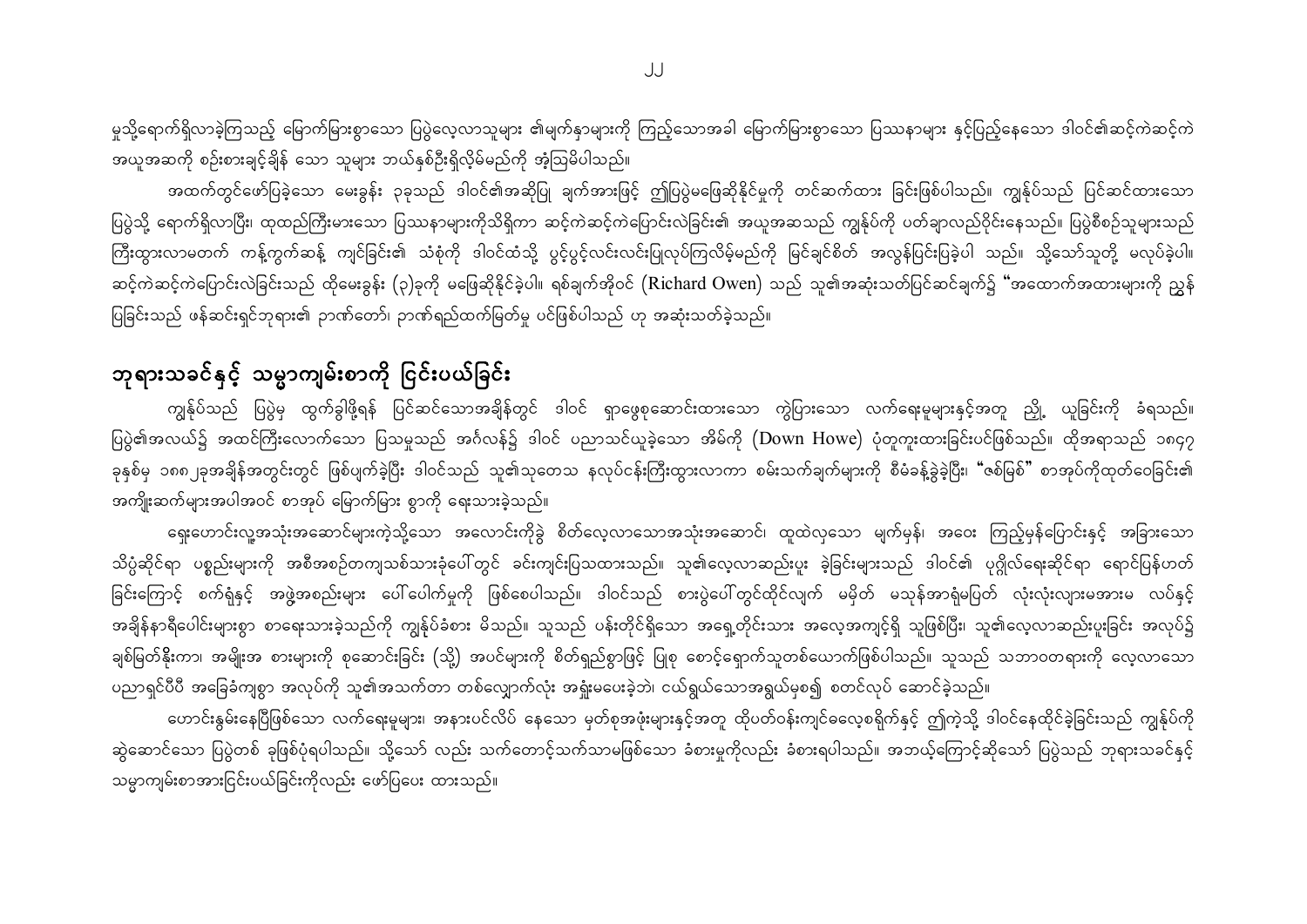မှုသို့ရောက်ရှိလာခဲ့ကြသည့် မြောက်မြားစွာသော ပြပွဲလေ့လာသူများ ၏မျက်နှာများကို ကြည့်သောအခါ မြောက်မြားစွာသော ပြဿနာများ နှင့်ပြည့်နေသော ဒါဝင်၏ဆင့်ကဲဆင့်ကဲ အယူအဆကို စဉ်းစားချင့်ချိန် သော သူများ ဘယ်နှစ်ဦးရှိလို့မ်မည်ကို အံ့ဩမိပါသည်။

အထက်တွင်ဖော်ပြခဲ့သော မေးခွန်း ၃ခုသည် ဒါဝင်၏အဆိုပြု ချက်အားဖြင့် ဤပြပွဲမဖြေဆိုနိုင်မှုကို တင်ဆက်ထား ခြင်းဖြစ်ပါသည်။ ကျွန်ုပ်သည် ပြင်ဆင်ထားသော ပြပွဲသို့ ရောက်ရှိလာပြီး၊ ထုထည်ကြီးမားသော ပြဿနာများကိုသိရှိကာ ဆင့်ကဲဆင့်ကဲပြောင်းလဲခြင်း၏ အယူအဆသည် ကျွန်ုပ်ကို ပတ်ချာလည်ဝိုင်းနေသည်။ ပြပွဲစီစဉ်သူများသည် ကြီးထွားလာမတက် ကန့်ကွက်ဆန့် ကျင်ခြင်း၏ သံစုံကို ဒါဝင်ထံသို့ ပွင့်ပွင့်လင်းလင်းပြုလုပ်ကြလိမ့်မည်ကို မြင်ချင်စိတ် အလွန်ပြင်းပြခဲ့ပါ သည်။ သို့သော်သူတို့ မလုပ်ခဲ့ပါ။ ဆင့်ကဲဆင့်ကဲပြောင်းလဲခြင်းသည် ထိုမေးခွန်း (၃)ခုကို မဖြေဆိုနိုင်ခဲ့ပါ။ ရစ်ချက်အိုဝင် (Richard Owen) သည် သူ၏အဆုံးသတ်ပြင်ဆင်ချက်၌ "အထောက်အထားများကို ညွှန် ပြခြင်းသည် ဖန်ဆင်းရှင်ဘုရား၏ ဉာဏ်တော်၊ ဉာဏ်ရည်ထက်မြတ်မှု ပင်ဖြစ်ပါသည် ဟု အဆုံးသတ်ခဲ့သည်။

### ဘုရားသခင်နှင့် သမ္မာကျမ်းစာကို ငြင်းပယ်ခြင်း

ကျွန်ုပ်သည် ပြပွဲမှ ထွက်ခွါဖို့ရန် ပြင်ဆင်သောအချိန်တွင် ဒါဝင် ရှာဖွေစုဆောင်းထားသော ကွဲပြားသော လက်ရေးမူများနှင့်အတူ ညှို့ ယူခြင်းကို ခံရသည်။ ပြပွဲ၏အလယ်၌ အထင်ကြီးလောက်သော ပြသမှုသည် အင်္ဂလန်၌ ဒါဝင် ပညာသင်ယူခဲ့သော အိမ်ကို (Down Howe) ပုံတူကူးထားခြင်းပင်ဖြစ်သည်။ ထိုအရာသည် ၁၈၄၇ ခုနှစ်မှ ၁၈၈၂ခုအချိန်အတွင်းတွင် ဖြစ်ပျက်ခဲ့ပြီး ဒါဝင်သည် သူ၏သုတေသ နလုပ်ငန်းကြီးထွားလာကာ စမ်းသက်ချက်များကို စီမံခန့်ခွဲခဲ့ပြီး၊ "ဇစ်မြစ်" စာအုပ်ကိုထုတ်ဝေခြင်း၏ အကျိုးဆက်များအပါအဝင် စာအုပ် မြောက်မြား စွာကို ရေးသားခဲ့သည်။

ရှေးဟောင်းလူ့အသုံးအဆောင်များကဲ့သို့သော အလောင်းကိုခွဲ စိတ်လေ့လာသောအသုံးအဆောင်၊ ထူထဲလှသော မျက်မှန်၊ အဝေး ကြည့်မှန်ပြောင်းနှင့် အခြားသော သိပ္ပံဆိုင်ရာ ပစ္စည်းများကို အစီအစဉ်တကျသစ်သားခုံပေါ်တွင် ခင်းကျင်းပြသထားသည်။ သူ၏လေ့လာဆည်းပူး ခဲ့ခြင်းများသည် ဒါဝင်၏ ပုဂ္ဂိုလ်ရေးဆိုင်ရာ ရောင်ပြန်ဟတ် ခြင်းကြောင့် စက်ရုံနှင့် အဖွဲ့အစည်းများ ပေါ်ပေါက်မှုကို ဖြစ်စေပါသည်။ ဒါဝင်သည် စားပွဲပေါ်တွင်ထိုင်လျက် မမှိတ် မသုန်အာရုံမပြတ် လုံးလုံးလျားမအားမ လပ်နှင့် အချိန်နာရီပေါင်းများစွာ စာရေးသားခဲ့သည်ကို ကျွန်ုပ်ခံစား မိသည်။ သူသည် ပန်းတိုင်ရှိသော အရေ့တိုင်းသား အလေ့အကျင့်ရှိ သူဖြစ်ပြီး၊ သူ၏လေ့လာဆည်းပူးခြင်း အလုပ်၌ ချစ်မြတ်နိုးကာ၊ အမျိုးအ စားများကို စုဆောင်းခြင်း (သို့) အပင်များကို စိတ်ရှည်စွာဖြင့် ပြုစု စောင့်ရှောက်သူတစ်ယောက်ဖြစ်ပါသည်။ သူသည် သဘာဝတရားကို လေ့လာသော ပညာရှင်ပီပီ အခြေခံကျစွာ အလုပ်ကို သူ၏အသက်တာ တစ်လျှောက်လုံး အရှုံးမပေးခဲ့ဘဲ၊ ငယ်ရွယ်သောအရွယ်မှစ၍ စတင်လုပ် ဆောင်ခဲ့သည်။

တောင်းနွမ်းနေပြီဖြစ်သော လက်ရေးမှုများ၊ အနားပင်လိပ် နေသော မှတ်စုအဖုံးများနှင့်အတူ ထိုပတ်ဝန်းကျင်ဓလေ့စရိုက်နှင့် ဤကဲ့သို့ ဒါဝင်နေထိုင်ခဲ့ခြင်းသည် ကျွန်ုပ်ကို ဆွဲဆောင်သော ပြပွဲတစ် ခုဖြစ်ပုံရပါသည်။ သို့သော် လည်း သက်တောင့်သက်သာမဖြစ်သော ခံစားမှုကိုလည်း ခံစားရပါသည်။ အဘယ့်ကြောင့်ဆိုသော် ပြပွဲသည် ဘုရားသခင်နှင့် သမ္မာကျမ်းစာအားငြင်းပယ်ခြင်းကိုလည်း ဖော်ပြပေး ထားသည်။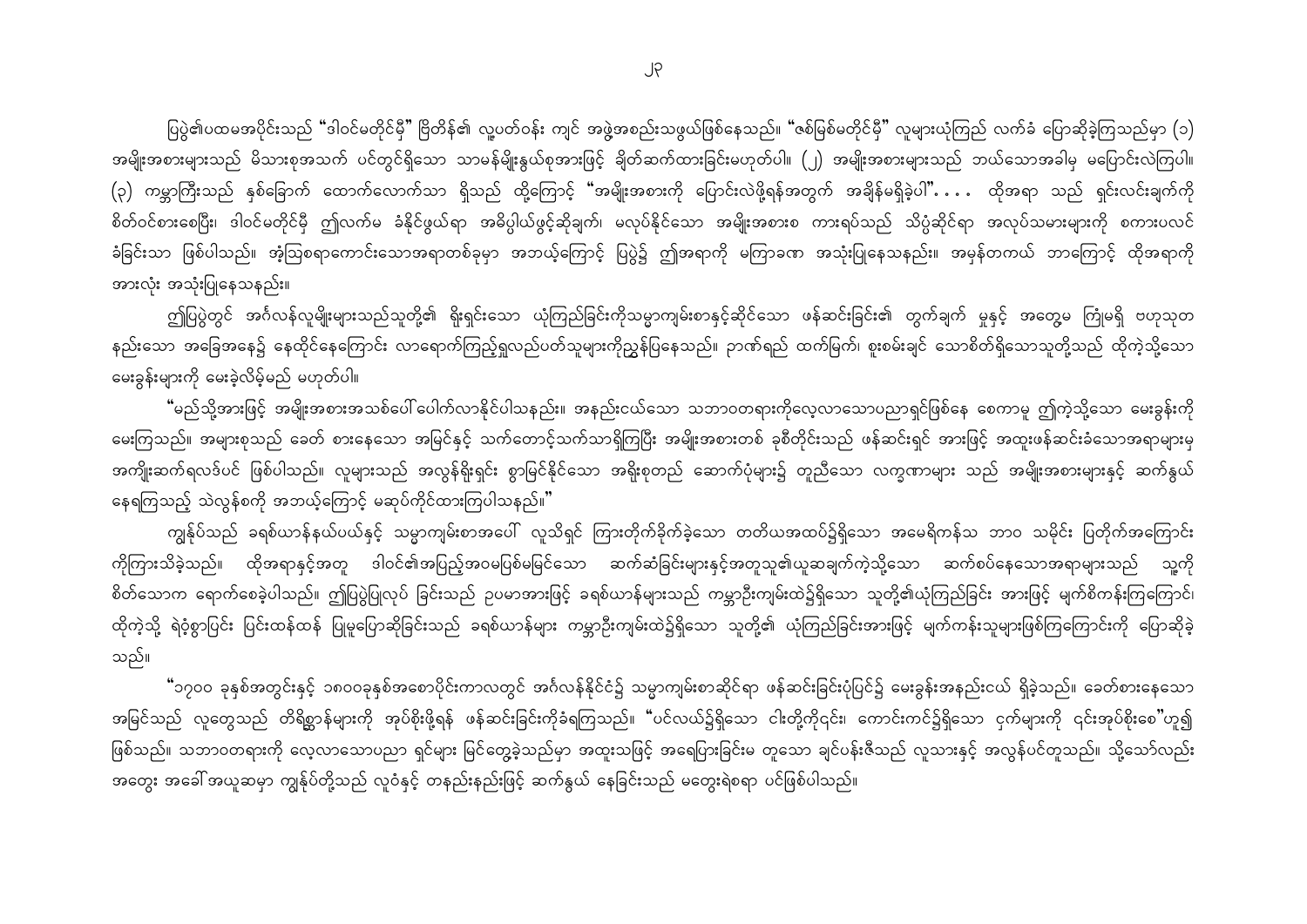ပြပွဲ၏ပထမအပိုင်းသည် "ဒါဝင်မတိုင်မှီ" ဗြိတိန်၏ လူ့ပတ်ဝန်း ကျင် အဖွဲ့အစည်းသဖွယ်ဖြစ်နေသည်။ "ဇစ်မြစ်မတိုင်မှီ" လူများယုံကြည် လက်ခံ ပြောဆိုခဲ့ကြသည်မှာ (၁) အမျိုးအစားများသည် မိသားစုအသက် ပင်တွင်ရှိသော သာမန်မျိုးနွယ်စုအားဖြင့် ချိတ်ဆက်ထားခြင်းမဟုတ်ပါ။ (၂) အမျိုးအစားများသည် ဘယ်သောအခါမှ မပြောင်းလဲကြပါ။ (၃) ကမ္ဘာကြီးသည် နှစ်ခြောက် ထောက်လောက်သာ ရှိသည် ထို့ကြောင့် "အမျိုးအစားကို ပြောင်းလဲဖို့ရန်အတွက် အချိန်မရှိခဲ့ပါ" $\ldots$  ထိုအရာ သည် ရှင်းလင်းချက်ကို စိတ်ဝင်စားစေပြီး၊ ဒါဝင်မတိုင်မှီ ဤလက်မ ခံနိုင်ဖွယ်ရာ အဓိပ္ပါယ်ဖွင့်ဆိုချက်၊ မလုပ်နိုင်သော အမျိုးအစားစ ကားရပ်သည် သိပ္ပံဆိုင်ရာ အလုပ်သမားများကို စကားပလင် ခံခြင်းသာ ဖြစ်ပါသည်။ အံ့ဩစရာကောင်းသောအရာတစ်ခုမှာ အဘယ့်ကြောင့် ပြပွဲ၌ ဤအရာကို မကြာခဏ အသုံးပြုနေသနည်း။ အမှန်တကယ် ဘာကြောင့် ထိုအရာကို အားလုံး အသုံးပြုနေသနည်း။

ဤပြပွဲတွင် အင်္ဂလန်လူမျိုးများသည်သူတို့၏ ရိုးရှင်းသော ယုံကြည်ခြင်းကိုသမ္မာကျမ်းစာနှင့်ဆိုင်သော ဖန်ဆင်းခြင်း၏ တွက်ချက် မှုနှင့် အတွေမ ကြုံမရှိ ဗဟုသုတ နည်းသော အခြေအနေ၌ နေထိုင်နေကြောင်း လာရောက်ကြည့်ရှုလည်ပတ်သူများကိုညွှန်ပြနေသည်။ ဉာဏ်ရည် ထက်မြက်၊ စူးစမ်းချင် သောစိတ်ရှိသောသူတို့သည် ထိုကဲ့သို့သော မေးခွန်းများကို မေးခဲ့လိမ့်မည် မဟုတ်ပါ။

"မည်သို့အားဖြင့် အမျိုးအစားအသစ်ပေါ် ပေါက်လာနိုင်ပါသနည်း။ အနည်းငယ်သော သဘာဝတရားကိုလေ့လာသောပညာရှင်ဖြစ်နေ စေကာမူ ဤကဲ့သို့သော မေးခွန်းကို မေးကြသည်။ အများစုသည် ခေတ် စားနေသော အမြင်နှင့် သက်တောင့်သက်သာရှိကြပြီး အမျိုးအစားတစ် ခုစီတိုင်းသည် ဖန်ဆင်းရှင် အားဖြင့် အထူးဖန်ဆင်းခံသောအရာများမှ အကျိုးဆက်ရလဒ်ပင် ဖြစ်ပါသည်။ လူများသည် အလွန်ရိုးရှင်း စွာမြင်နိုင်သော အရိုးစုတည် ဆောက်ပုံများ၌ တူညီသော လက္ခဏာများ သည် အမျိုးအစားများနှင့် ဆက်နွယ် နေရကြသည့် သဲလွန်စကို အဘယ့်ကြောင့် မဆုပ်ကိုင်ထားကြပါသနည်။

ကျွန်ုပ်သည် ခရစ်ယာန်နယ်ပယ်နှင့် သမ္မာကျမ်းစာအပေါ် လူသိရှင် ကြားတိုက်ခိုက်ခဲ့သော တတိယအထပ်၌ရှိသော အမေရိကန်သ ဘာဝ သမိုင်း ပြတိုက်အကြောင်း ကိုကြားသိခဲ့သည်။ ထိုအရာနှင့်အတူ ဒါဝင်၏အပြည့်အဝမပြစ်မမြင်သော ဆက်ဆံခြင်းများနှင့်အတူသူ၏ယူဆချက်ကဲ့သို့သော ဆက်စပ်နေသောအရာများသည် သူ့ကို စိတ်သောက ရောက်စေခဲ့ပါသည်။ ဤပြပွဲပြုလုပ် ခြင်းသည် ဉပမာအားဖြင့် ခရစ်ယာန်များသည် ကမ္ဘာဦးကျမ်းထဲ၌ရှိသော သူတို့၏ယုံကြည်ခြင်း အားဖြင့် မျက်စိကန်းကြကြောင်၊ ထိုကဲ့သို့ ရဲဝံ့စွာပြင်း ပြင်းထန်ထန် ပြုမူပြောဆိုခြင်းသည် ခရစ်ယာန်များ ကမ္ဘာဦးကျမ်းထဲ၌ရှိသော သူတို့၏ ယုံကြည်ခြင်းအားဖြင့် မျက်ကန်းသူများဖြစ်ကြကြောင်းကို ပြောဆိုခဲ့ သည်။

ီာ၇၀၀ ခုနှစ်အတွင်းနှင့် ၁၈၀၀ခုနှစ်အစောပိုင်းကာလတွင် အင်္ဂလန်နိုင်ငံ၌ သမ္မာကျမ်းစာဆိုင်ရာ ဖန်ဆင်းခြင်းပုံပြင်၌ မေးခွန်းအနည်းငယ် ရှိခဲ့သည်။ ခေတ်စားနေသော အမြင်သည် လူတွေသည် တိရိစ္ဆာန်များကို အုပ်စိုးဖို့ရန် ဖန်ဆင်းခြင်းကိုခံရကြသည်။ "ပင်လယ်၌ရှိသော ငါးတို့ကို၎င်း၊ ကောင်းကင်၌ရှိသော ငှက်များကို ၎င်းအုပ်စိုးစေ"ဟူ၍ ဖြစ်သည်။ သဘာဝတရားကို လေ့လာသောပညာ ရှင်များ မြင်တွေ့ခဲ့သည်မှာ အထူးသဖြင့် အရေပြားခြင်းမ တူသော ချင်ပန်းဇီသည် လူသားနှင့် အလွန်ပင်တူသည်။ သို့သော်လည်း အတွေး အခေါ် အယူဆမှာ ကျွန်ုပ်တို့သည် လူဝံနှင့် တနည်းနည်းဖြင့် ဆက်နွယ် နေခြင်းသည် မတွေးရဲစရာ ပင်ဖြစ်ပါသည်။